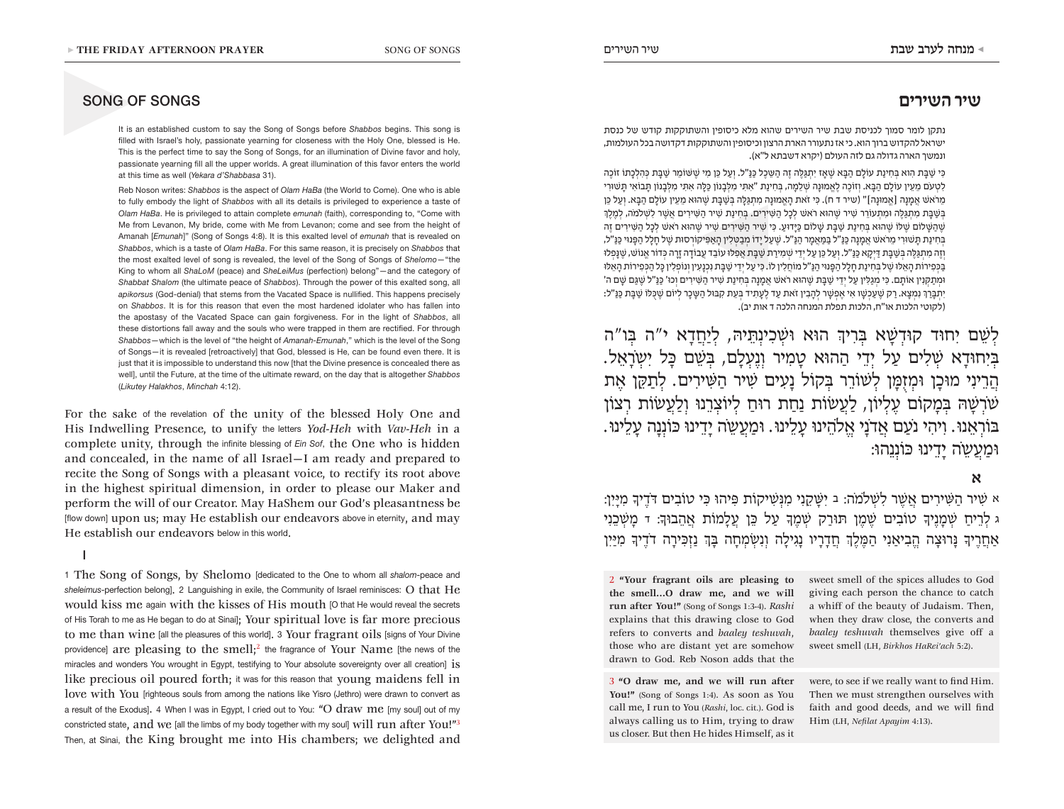# **שיר השירים**

נתקן לומר סמוך לכניסת שבת שיר השירים שהוא מלא כיסופין והשתוקקות קודש של כנסת ישראל להקדוש ברוך הוא. כי אז נתעורר הארת הרצון וכיסופין והשתוקקות דקדושה בכל העולמות, ונמשך הארה גדולה גם לזה העולם )יקרא דשבתא ל"א(.

הֲשַׁבֶּת מִתְגַּלֶּה וּמִתְעוֹרֵר שִׁיר שֶׁהוּא רֹאשׁ לְכָל הַשִּׁירִים. בְּחִינַת שִׁיר הַשִּׁירִים אֲשֶׁר לִשְׁלֹמֹה, לְמֶלֶךְ<br>שֶׁהַשָּׁלוֹם שֶׁלּוֹ שֶׁהוּא בְּחִינַת שַׁבָּת שָׁלוֹם כַּיָּדוּע. כִּי שִׁיר הַשִּׁירִים  $\epsilon$ כִּי שַׁבַּת הוא בַּחִינִת עוֹלָם הִבֵּא שַׁאַז יִתְגַּלָּה זָה הַשֵּׁכַל כַּנַּ"ל, ועַל כַּן מֵי שַׁשַּׁוֹמֵר שַׁבַּת כַּהְלכִתוֹ זוֹכַה לטעֹם מִעִיו עוֹלִם הִבֵּא. וְזוֹכָה לְאִמוּנָה שִׁלְמַה. בַּחִינַת "אִתִּי מִלְבְנוֹוּ כִּלְּה אִתִּי מִלְבְנוֹוּ תְּבוֹאִי תִּשׁוּרִי מֵרֹאשׁ אַמנה [אַמּוּנה]" (שיר ד ח). כִּי זֹאת האַמוּנה מִתגּלָה בַּשַׁבַּת שַׁהוּא מֵעֵין עוֹלִם הִבֵּא. ועַל כֵּן שְׁהִשָּׁלוֹם שִׁלּוֹ שַׁהוּא בַּחִינַת שַׁבֵּת שַׁלוֹם כִּיִּדוּע, כִּי שִׁיר הַשִּׁירִים שִׁירַ שַׁהְאַ רֹאשׁ לכל הַשִּׁירִים זֶה ּבְּחִינַת תַּשׁוּרִי מֵרֹאשׁ אֲמֵנָה כַּנַ"ל בַּמַּאֲמַר הַנַּ"ל, שֶׁעֲל יַדוֹ מְבַטְלִין הַאֲפִּיקוֹרְסוּת שֶׁל חַלֲל הַפָּנוּי כַּנַּ"ל, וְזֶה מִתְגַּלֶּה בְּשֶׁבַּת דַּיְקַא כַּנַּ"ל. וְעַל כֵּן עַל יְדֵי שְׁמִירַת שַׁבַּת אֲפִלּוּ עֹוֹבֵד עֲבוֹדַה זֵרָה כְּדוֹר אֱנוֹשׁ, שֶׁנַּפְלוּ בּפִירוֹת האלוּ של בּחינת חלל הפּנוּי הנּ"ל מוֹחלין לוֹ. כּי על ידי שׁבּת נכנעין ונוֹפלין כּל הכּפירוֹת האלוּ וּמַתַקְנִין אוֹתַם. כִּי מִגְלִין עַל יִדֵי שַׁבַּת שֶׁהוּא רֹאשׁ אֲמֵנֵה בַּחִינַת שִׁיר הַשִּׁירִים וִכוּ' כַּנַ"ל שֵׁגַּם שַׁם ה' יִתְבָּרֵךְ נִמְצַא. רַק שֵׁעַכְשָׁו אִי אֵפְשָׁר לְהַבְין זֹאת עַד לֵעַתְיד בְּעֵת קִבּוּל הַשָּׁכַר לְיוֹם שֵׁכְּלּוֹ שַׁבַּת כַּנַּ"ל: (לקוטי הלכות או"ח, הלכות תפלת המנחה הלכה ד אות יב).

לְׁשֵם יִחּוד קּודְׁשָא ּבְרִיְך הּוא ּוׁשְכִינְּתֵיּה, לְיַחֲדָא י"ה ּבְו"ה ּבְיִחּודָא ׁשְלִים עַל יְדֵי הַהּוא טָמִיר וְנֶעְלָם, ּבְׁשֵם ּכָל יִשְֹרָאֵל. הֲרֵינִי מּוכָן ּומְז ֻּמָן לְׁשֹורֵר ּבְקֹול נָעִים ׁשִיר הַּׁשִירִים. לְתַּקֵן אֶת ׁשֹרְׁשָּה ּבְמָקֹום עֶלְיֹון, לַעֲׂשֹות נַחַת רּוחַ לְיֹוצְרֵנּו וְלַעֲׂשֹות רְצֹון ּבֹורְאֵנּו. וִיהִי נֹעַם אֲדֹנָי אֱֹלהֵינּו עָלֵינּו. ּומַעֲשֵֹה יָדֵינּו ּכֹונְנָה עָלֵינּו. ּומַעֲשֵֹה יָדֵינּו ּכֹונְנֵהּו:

# **א**

א ׁשִיר הַּׁשִירִים אֲׁשֶר לִׁשְֹלמֹה: ב יִּׁשָקֵנִי מִּנְׁשִיקֹות ּפִיהּו ּכִי טֹובִים ּדֹדֶיָך מִּיָיִן: ג לְרֵיחַ ׁשְמָנֶיָך טֹובִים ׁשֶמֶן ּתּורַק ׁשְמֶָך עַל ּכֵן עֲלָמֹות אֲהֵבּוָך: ד מָׁשְכֵנִי אַחֲרֶיָך ּנָרּוצָה הֱבִיאַנִי הַּמֶלְֶך חֲדָרָיו נָגִילָה וְנִׂשְמְחָה ּבְָך נַזְּכִירָה דֹדֶיָך מִּיַיִן

2 **"Your fragrant oils are pleasing to the smell…O draw me, and we will run after You!"** (Song of Songs 1:3-4). *Rashi* explains that this drawing close to God refers to converts and *baaley teshuvah*, those who are distant yet are somehow drawn to God. Reb Noson adds that the

3 **"O draw me, and we will run after**  You!" (Song of Songs 1:4). As soon as You call me, I run to You (*Rashi*, loc. cit.). God is always calling us to Him, trying to draw us closer. But then He hides Himself, as it

sweet smell of the spices alludes to God giving each person the chance to catch a whiff of the beauty of Judaism. Then, when they draw close, the converts and *baaley teshuvah* themselves give off a sweet smell (LH, *Birkhos HaRei'ach* 5:2).

were, to see if we really want to find Him. Then we must strengthen ourselves with faith and good deeds, and we will find Him (LH, *Nefilat Apayim* 4:13).

# SONG OF SONGS

▶ THE FRIDA<br>
SONG O<br>
It is a<br>
filled<br>
This in<br>
passing<br>
at thi It is an established custom to say the Song of Songs before *Shabbos* begins. This song is filled with Israel's holy, passionate yearning for closeness with the Holy One, blessed is He. This is the perfect time to say the Song of Songs, for an illumination of Divine favor and holy, passionate yearning fill all the upper worlds. A great illumination of this favor enters the world at this time as well (*Yekara d'Shabbasa* 31).

> Reb Noson writes: *Shabbos* is the aspect of *Olam HaBa* (the World to Come). One who is able to fully embody the light of *Shabbos* with all its details is privileged to experience a taste of *Olam HaBa*. He is privileged to attain complete *emunah* (faith), corresponding to, "Come with Me from Levanon, My bride, come with Me from Levanon; come and see from the height of Amanah [*Emunah*]" (Song of Songs 4:8). It is this exalted level of *emunah* that is revealed on *Shabbos*, which is a taste of *Olam HaBa*. For this same reason, it is precisely on *Shabbos* that the most exalted level of song is revealed, the level of the Song of Songs of *Shelomo*—"the King to whom all *ShaLoM* (peace) and *SheLeiMus* (perfection) belong"—and the category of *Shabbat Shalom* (the ultimate peace of *Shabbos*). Through the power of this exalted song, all *apikorsus* (God-denial) that stems from the Vacated Space is nullified. This happens precisely on *Shabbos*. It is for this reason that even the most hardened idolater who has fallen into the apostasy of the Vacated Space can gain forgiveness. For in the light of *Shabbos*, all these distortions fall away and the souls who were trapped in them are rectified. For through *Shabbos*—which is the level of "the height of *Amanah-Emunah*," which is the level of the Song of Songs—it is revealed [retroactively] that God, blessed is He, can be found even there. It is just that it is impossible to understand this now [that the Divine presence is concealed there as well], until the Future, at the time of the ultimate reward, on the day that is altogether *Shabbos* (*Likutey Halakhos*, *Minchah* 4:12).

For the sake of the revelation of the unity of the blessed Holy One and His Indwelling Presence, to unify the letters *Yod-Heh* with *Vav-Heh* in a complete unity, through the infinite blessing of *Ein Sof*, the One who is hidden and concealed, in the name of all Israel—I am ready and prepared to recite the Song of Songs with a pleasant voice, to rectify its root above in the highest spiritual dimension, in order to please our Maker and perform the will of our Creator. May HaShem our God's pleasantness be [flow down] upon us; may He establish our endeavors above in eternity, and may He establish our endeavors below in this world.

I

1 The Song of Songs, by Shelomo [dedicated to the One to whom all *shalom*-peace and *sheleimus*-perfection belong]. 2 Languishing in exile, the Community of Israel reminisces: O that He would kiss me again with the kisses of His mouth [O that He would reveal the secrets of His Torah to me as He began to do at Sinai]; Your spiritual love is far more precious to me than wine [all the pleasures of this world]. 3 Your fragrant oils [signs of Your Divine providence] are pleasing to the smell;<sup>2</sup> the fragrance of Your Name [the news of the miracles and wonders You wrought in Egypt, testifying to Your absolute sovereignty over all creation] is like precious oil poured forth; it was for this reason that young maidens fell in love with You [righteous souls from among the nations like Yisro (Jethro) were drawn to convert as a result of the Exodus]. 4 When I was in Egypt, I cried out to You: "O draw me [my soul] out of my constricted state, and we [all the limbs of my body together with my soul] will run after You!"3 Then, at Sinai, the King brought me into His chambers; we delighted and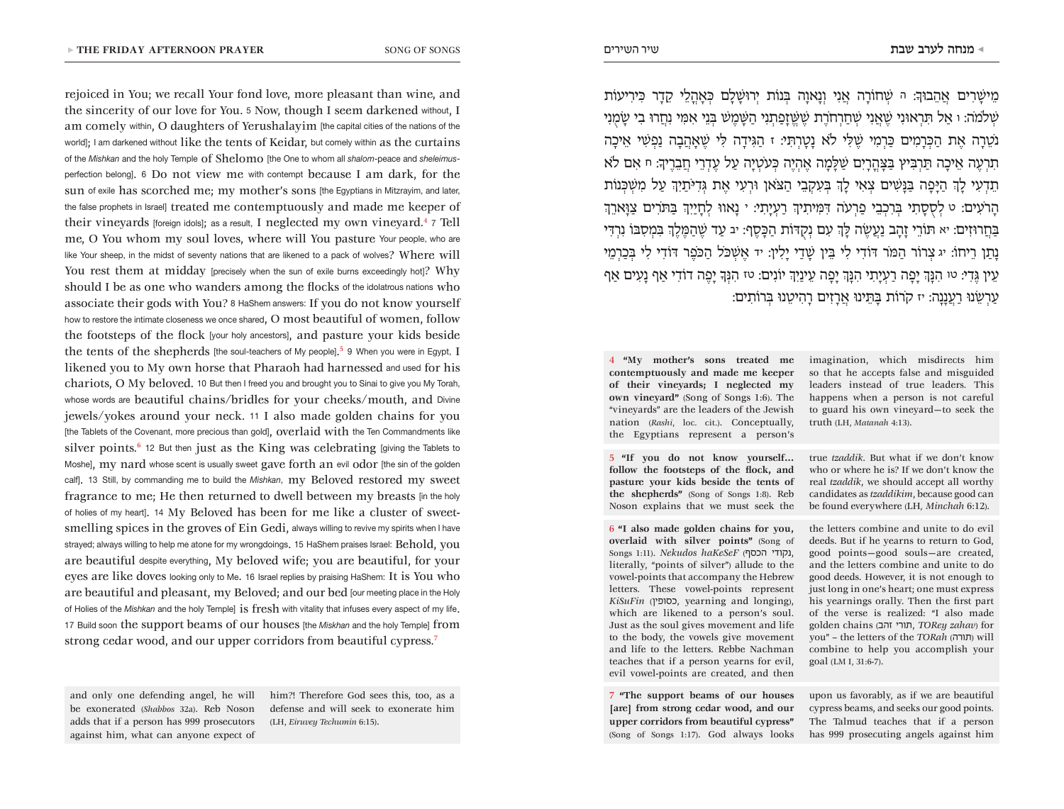rejoiced in You; we recall Your fond love, more pleasant than wine, and the sincerity of our love for You. 5 Now, though I seem darkened without, I am comely within, O daughters of Yerushalayim [the capital cities of the nations of the world]; I am darkened without like the tents of Keidar, but comely within as the curtains of the *Mishkan* and the holy Temple of Shelomo [the One to whom all *shalom*-peace and *sheleimus*perfection belong]. 6 Do not view me with contempt because I am dark, for the sun of exile has scorched me; my mother's sons [the Egyptians in Mitzrayim, and later, the false prophets in Israel] treated me contemptuously and made me keeper of their vineyards [foreign idols]; as a result, I neglected my own vineyard.<sup>4</sup> 7 Tell me, O You whom my soul loves, where will You pasture Your people, who are like Your sheep, in the midst of seventy nations that are likened to a pack of wolves? Where will You rest them at midday [precisely when the sun of exile burns exceedingly hot]? Why should I be as one who wanders among the flocks of the idolatrous nations who associate their gods with You? 8 HaShem answers: If you do not know yourself how to restore the intimate closeness we once shared, O most beautiful of women, follow the footsteps of the flock [your holy ancestors], and pasture your kids beside the tents of the shepherds [the soul-teachers of My people].<sup>5</sup> 9 When you were in Egypt, I likened you to My own horse that Pharaoh had harnessed and used for his chariots, O My beloved. 10 But then I freed you and brought you to Sinai to give you My Torah, whose words are beautiful chains/bridles for your cheeks/mouth, and Divine jewels/yokes around your neck. 11 I also made golden chains for you [the Tablets of the Covenant, more precious than gold], OVerlaid with the Ten Commandments like silver points. $6$  12 But then just as the King was celebrating [giving the Tablets to Moshe], my nard whose scent is usually sweet gave forth an evil odor [the sin of the golden calf]. 13 Still, by commanding me to build the *Mishkan*, my Beloved restored my sweet fragrance to me; He then returned to dwell between my breasts [in the holy of holies of my heart]. 14 My Beloved has been for me like a cluster of sweetsmelling spices in the groves of Ein Gedi, always willing to revive my spirits when I have strayed; always willing to help me atone for my wrongdoings. 15 HaShem praises Israel: Behold, you are beautiful despite everything, My beloved wife; you are beautiful, for your eyes are like doves looking only to Me. 16 Israel replies by praising HaShem: It is You who are beautiful and pleasant, my Beloved; and our bed [our meeting place in the Holy of Holies of the *Mishkan* and the holy Temple] is fresh with vitality that infuses every aspect of my life. 17 Build soon the support beams of our houses [the *Miskhan* and the holy Temple] from strong cedar wood, and our upper corridors from beautiful cypress.<sup>7</sup>

and only one defending angel, he will be exonerated (*Shabbos* 32a). Reb Noson adds that if a person has 999 prosecutors against him, what can anyone expect of

him?! Therefore God sees this, too, as a defense and will seek to exonerate him (LH, *Eiruvey Techumin* 6:15).

מֵיׁשָרִים אֲהֵבּוָך: ה ׁשְחֹורָה אֲנִי וְנָאוָה ּבְנֹות יְרּוׁשָלִָם ּכְאָהֳלֵי קֵדָר ּכִירִיעֹות ׁשְֹלמֹה: ו אַל ּתִרְאּונִי ׁשֶאֲנִי ׁשְחַרְחֹרֶת ׁשֶּׁשֱזָפַתְנִי הַּׁשָמֶׁש ּבְנֵי אִּמִי נִחֲרּו בִי ׂשָמֻנִי נֹטֵרָה אֶת הַּכְרָמִים ּכַרְמִי ׁשֶּלִי ֹלא נָטָרְּתִי: ז הַּגִידָה ּלִי ׁשֶאָהֲבָה נַפְׁשִי אֵיכָה תִּרְצִיץ וּבְרֵיץ וּמַרְבִּיץ וּבַּצְהְרִיִם שִׁלְמַה אֲהָיֶה כְּעֹטְיָה עַל עֲדָרֵי חֲבָרֵיִךְ: חַ אִם לֹא תֵדְעִי לְָך הַּיָפָה ּבַּנָׁשִים צְאִי לְָך ּבְעִקְבֵי הַּצֹאן ּורְעִי אֶת ּגְדִּיֹתַיְִך עַל מִׁשְּכְנֹות הָרֹעִים: ט לְסֻסָתִי ּבְרִכְבֵי פַרְעֹה ּדִּמִיתִיְך רַעְיָתִי: י נָאוּו לְחָיַיְִך ּבַּתֹרִים צַּוָארְֵך ּבַחֲרּוזִים: יא ּתֹורֵי זָהָב נַעֲׂשֶה ּלְָך עִם נְקֻּדֹות הַּכָסֶף: יב עַד ׁשֶהַּמֶלְֶך ּבִמְסִּבֹו נִרְּדִי נָתַן רֵיחֹו: יג צְרֹור הַּמֹר ּדֹודִי לִי ּבֵין ׁשָדַי יָלִין: יד אֶׁשְּכֹל הַּכֹפֶר ּדֹודִי לִי ּבְכַרְמֵי עֵין ּגֶדִי: טו הִּנְָך יָפָה רַעְיָתִי הִּנְָך יָפָה עֵינַיְִך יֹונִים: טז הִּנְָך יָפֶה דֹודִי אַף נָעִים אַף עַרְׂשֵנּו רַעֲנָנָה: יז קֹרֹות ּבָּתֵינּו אֲרָזִים רָהִיטֵנּו ּבְרֹותִים:

4 **"My mother's sons treated me contemptuously and made me keeper of their vineyards; I neglected my own vineyard"** (Song of Songs 1:6). The "vineyards" are the leaders of the Jewish nation (*Rashi*, loc. cit.). Conceptually, the Egyptians represent a person's

5 **"If you do not know yourself... follow the footsteps of the flock, and pasture your kids beside the tents of the shepherds"** (Song of Songs 1:8). Reb Noson explains that we must seek the

6 **"I also made golden chains for you, overlaid with silver points"** (Song of Songs 1:11). *Nekudos haKeSeF* (הכסף נקודי, literally, "points of silver") allude to the vowel-points that accompany the Hebrew letters. These vowel-points represent *KiSuFin* (כסופין, yearning and longing), which are likened to a person's soul. Just as the soul gives movement and life to the body, the vowels give movement and life to the letters. Rebbe Nachman teaches that if a person yearns for evil, evil vowel-points are created, and then

7 **"The support beams of our houses [are] from strong cedar wood, and our upper corridors from beautiful cypress"** (Song of Songs 1:17). God always looks imagination, which misdirects him so that he accepts false and misguided leaders instead of true leaders. This happens when a person is not careful to guard his own vineyard—to seek the truth (LH, *Matanah* 4:13).

true *tzaddik*. But what if we don't know who or where he is? If we don't know the real *tzaddik*, we should accept all worthy candidates as *tzaddikim*, because good can be found everywhere (LH*, Minchah* 6:12).

the letters combine and unite to do evil deeds. But if he yearns to return to God, good points—good souls—are created, and the letters combine and unite to do good deeds. However, it is not enough to just long in one's heart; one must express his yearnings orally. Then the first part of the verse is realized: "I also made golden chains (זהב תורי, *TORey zahav*) for you" – the letters of the *TORah* (תורה (will combine to help you accomplish your goal (LM I, 31:6-7).

upon us favorably, as if we are beautiful cypress beams, and seeks our good points. The Talmud teaches that if a person has 999 prosecuting angels against him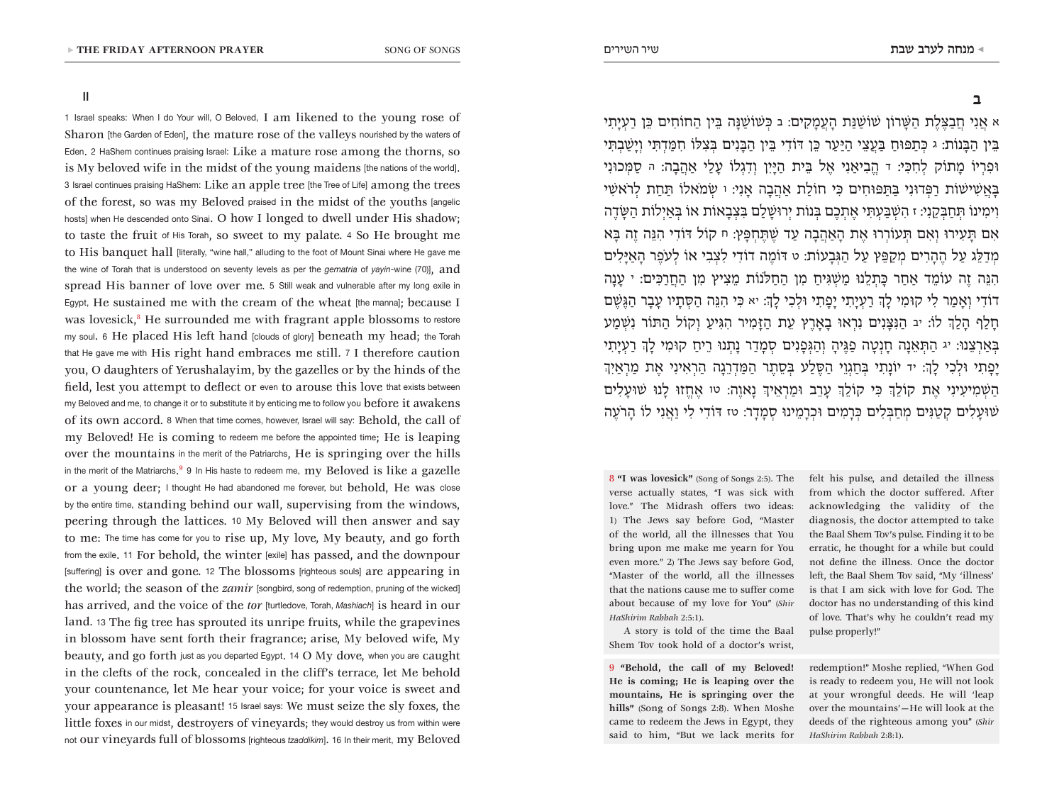II

1 Israel speaks: When I do Your will, O Beloved, I am likened to the young rose of Sharon [the Garden of Eden], the mature rose of the valleys nourished by the waters of Eden. 2 HaShem continues praising Israel: Like a mature rose among the thorns, so is My beloved wife in the midst of the young maidens [the nations of the world]. 3 Israel continues praising HaShem: Like an apple tree [the Tree of Life] among the trees of the forest, so was my Beloved praised in the midst of the youths [angelic hosts] when He descended onto Sinai. O how I longed to dwell under His shadow; to taste the fruit of His Torah, so sweet to my palate. 4 So He brought me to His banquet hall *[literally, "wine hall,"* alluding to the foot of Mount Sinai where He gave me the wine of Torah that is understood on seventy levels as per the *gematria* of *yayin*-wine (70)], and spread His banner of love over me. 5 Still weak and vulnerable after my long exile in Egypt, He sustained me with the cream of the wheat [the manna]; because I was lovesick, $8$  He surrounded me with fragrant apple blossoms to restore my soul. 6 He placed His left hand [clouds of glory] beneath my head; the Torah that He gave me with His right hand embraces me still. 7 I therefore caution you, O daughters of Yerushalayim, by the gazelles or by the hinds of the field, lest you attempt to deflect or even to arouse this love that exists between my Beloved and me, to change it or to substitute it by enticing me to follow you before it awakens of its own accord. 8 When that time comes, however, Israel will say: Behold, the call of my Beloved! He is coming to redeem me before the appointed time; He is leaping over the mountains in the merit of the Patriarchs, He is springing over the hills in the merit of the Matriarchs. $^9$  9 In His haste to redeem me,  $\,\mathrm{my}$   $\,\mathrm{Beloved}$   $\mathrm{is}$   $\,\mathrm{like}$   $\mathrm{a}\,\mathrm{gazelle}$ or a young deer; I thought He had abandoned me forever, but behold, He was close by the entire time, standing behind our wall, supervising from the windows, peering through the lattices. 10 My Beloved will then answer and say to me: The time has come for you to rise up, My love, My beauty, and go forth from the exile. 11 For behold, the winter [exile] has passed, and the downpour [suffering] is over and gone. 12 The blossoms [righteous souls] are appearing in the world; the season of the *zamir* [songbird, song of redemption, pruning of the wicked] has arrived, and the voice of the *tor* [turtledove, Torah, *Mashiach*] is heard in our land. 13 The fig tree has sprouted its unripe fruits, while the grapevines in blossom have sent forth their fragrance; arise, My beloved wife, My beauty, and go forth just as you departed Egypt. 14 O My dove, when you are caught in the clefts of the rock, concealed in the cliff's terrace, let Me behold your countenance, let Me hear your voice; for your voice is sweet and your appearance is pleasant! 15 Israel says: We must seize the sly foxes, the little foxes in our midst, destroyers of vineyards; they would destroy us from within were not our vineyards full of blossoms [righteous *tzaddikim*]. 16 In their merit, my Beloved

א אֲנִי חֲבַּצֶלֶת הַּׁשָרֹון ׁשֹוׁשַּנַת הָעֲמָקִים: ב ּכְׁשֹוׁשַּנָה ּבֵין הַחֹוחִים ּכֵן רַעְיָתִי ּבֵין הַּבָנֹות: ג ּכְתַּפּוחַ ּבַעֲצֵי הַּיַעַר ּכֵן ּדֹודִי ּבֵין הַּבָנִים ּבְצִּלֹו חִּמַדְּתִי וְיָׁשַבְּתִי ּופִרְיֹו מָתֹוק לְחִּכִי: ד הֱבִיאַנִי אֶל ּבֵית הַּיָיִן וְדִגְלֹו עָלַי אַהֲבָה: ה סַּמְכּונִי ּבָאֲׁשִיׁשֹות רַּפְדּונִי ּבַּתַּפּוחִים ּכִי חֹולַת אַהֲבָה אָנִי: ו ׂשְמֹאלֹו ּתַחַת לְרֹאׁשִי וִימִינֹו ּתְחַּבְקֵנִי: ז הִׁשְּבַעְּתִי אֶתְכֶם ּבְנֹות יְרּוׁשָלִַם ּבִצְבָאֹות אֹו ּבְאַיְלֹות הַּׂשָדֶה אִם ּתָעִירּו וְאִם ּתְעֹורְרּו אֶת הָאַהֲבָה עַד ׁשֶּתֶחְּפָץ: ח קֹול ּדֹודִי הִּנֵה זֶה ּבָא מְדַּלֵג עַל הֶהָרִים מְקַּפֵץ עַל הַּגְבָעֹות: ט ּדֹומֶה דֹודִי לִצְבִי אֹו לְעֹפֶר הָאַּיָלִים הִּנֵה זֶה עֹומֵד אַחַר ּכָתְלֵנּו מַׁשְּגִיחַ מִן הַחַֹּלנֹות מֵצִיץ מִן הַחֲרַּכִים: י עָנָה דֹודִי וְאָמַר לִי קּומִי לְָך רַעְיָתִי יָפָתִי ּולְכִי לְָך: יא ּכִי הִּנֵה הַּסְתָיו עָבָר הַּגֶׁשֶם חָלַף הָלְַך לֹו: יב הַּנִּצָנִים נִרְאּו בָאָרֶץ עֵת הַּזָמִיר הִּגִיעַ וְקֹול הַּתֹור נִׁשְמַע ּבְאַרְצֵנּו: יג הַּתְאֵנָה חָנְטָה פַּגֶיהָ וְהַּגְפָנִים סְמָדַר נָתְנּו רֵיחַ קּומִי לְָך רַעְיָתִי יָפָתִי ּולְכִי לְָך: יד יֹונָתִי ּבְחַגְוֵי הַּסֶלַע ּבְסֵתֶר הַּמַדְרֵגָה הַרְאִינִי אֶת מַרְאַיְִך הַׁשְמִיעִינִי אֶת קֹולְֵך ּכִי קֹולְֵך עָרֵב ּומַרְאֵיְך נָאוֶה: טו אֶחֱזּו לָנּו ׁשּועָלִים ׁשּועָלִים קְטַּנִים מְחַּבְלִים ּכְרָמִים ּוכְרָמֵינּו סְמָדָר: טז ּדֹודִי לִי וַאֲנִי לֹו הָרֹעֶה

8 **"I was lovesick"** (Song of Songs 2:5). The verse actually states, "I was sick with love." The Midrash offers two ideas: 1) The Jews say before God, "Master of the world, all the illnesses that You bring upon me make me yearn for You even more." 2) The Jews say before God, "Master of the world, all the illnesses that the nations cause me to suffer come about because of my love for You" (*Shir HaShirim Rabbah* 2:5:1).

A story is told of the time the Baal Shem Tov took hold of a doctor's wrist,

9 **"Behold, the call of my Beloved! He is coming; He is leaping over the mountains, He is springing over the hills"** (Song of Songs 2:8). When Moshe came to redeem the Jews in Egypt, they said to him, "But we lack merits for felt his pulse, and detailed the illness from which the doctor suffered. After acknowledging the validity of the diagnosis, the doctor attempted to take the Baal Shem Tov's pulse. Finding it to be erratic, he thought for a while but could not define the illness. Once the doctor left, the Baal Shem Tov said, "My 'illness' is that I am sick with love for God. The doctor has no understanding of this kind of love. That's why he couldn't read my pulse properly!"

redemption!" Moshe replied, "When God is ready to redeem you, He will not look at your wrongful deeds. He will 'leap over the mountains'—He will look at the deeds of the righteous among you" (*Shir HaShirim Rabbah* 2:8:1).

# **ב**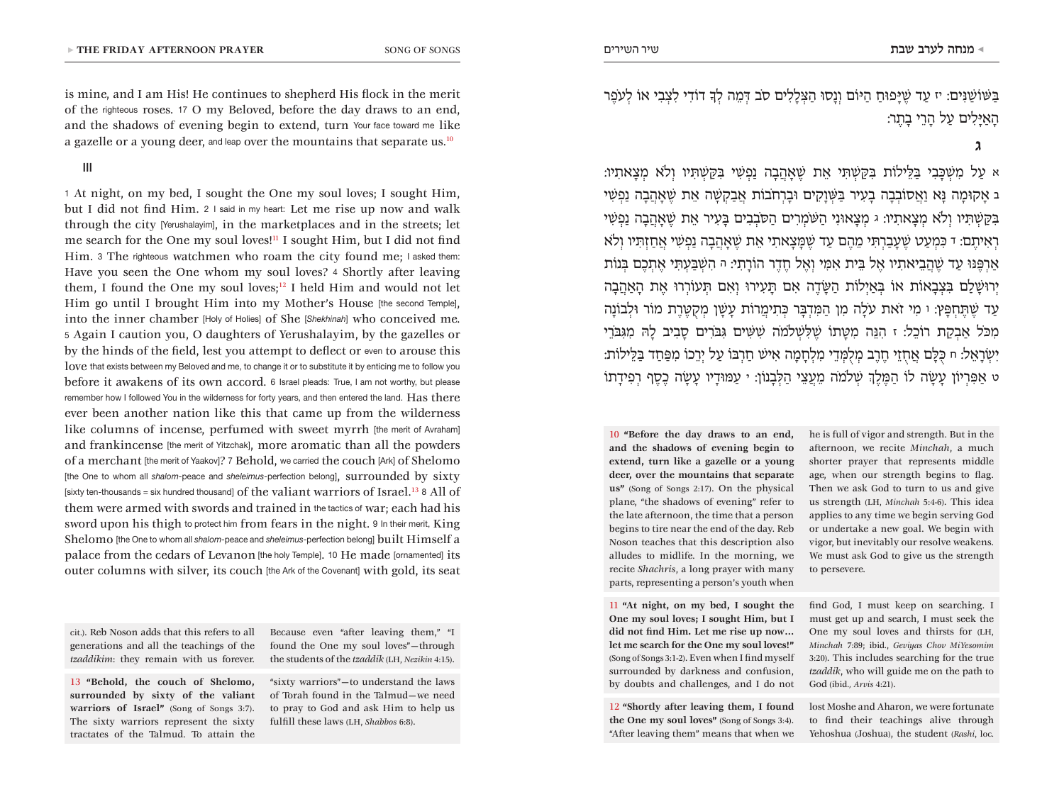is mine, and I am His! He continues to shepherd His flock in the merit of the righteous roses. 17 O my Beloved, before the day draws to an end, and the shadows of evening begin to extend, turn Your face toward me like a gazelle or a young deer, and leap over the mountains that separate us.<sup>10</sup>

III

1 At night, on my bed, I sought the One my soul loves; I sought Him, but I did not find Him. 2 I said in my heart: Let me rise up now and walk through the city [Yerushalayim], in the marketplaces and in the streets; let me search for the One my soul loves!11 I sought Him, but I did not find Him. 3 The righteous watchmen who roam the city found me; I asked them: Have you seen the One whom my soul loves? 4 Shortly after leaving them, I found the One my soul loves; $12$  I held Him and would not let Him go until I brought Him into my Mother's House [the second Temple], into the inner chamber [Holy of Holies] of She [*Shekhinah*] who conceived me. 5 Again I caution you, O daughters of Yerushalayim, by the gazelles or by the hinds of the field, lest you attempt to deflect or even to arouse this love that exists between my Beloved and me, to change it or to substitute it by enticing me to follow you before it awakens of its own accord. 6 Israel pleads: True, I am not worthy, but please remember how I followed You in the wilderness for forty years, and then entered the land. Has there ever been another nation like this that came up from the wilderness like columns of incense, perfumed with sweet myrrh [the merit of Avraham] and frankincense [the merit of Yitzchak], more aromatic than all the powders of a merchant [the merit of Yaakov]? 7 Behold, we carried the couch [Ark] of Shelomo [the One to whom all *shalom*-peace and *sheleimus*-perfection belong], surrounded by sixty [sixty ten-thousands = six hundred thousand] of the valiant warriors of Israel.<sup>13</sup> 8 All of them were armed with swords and trained in the tactics of war; each had his sword upon his thigh to protect him from fears in the night. 9 In their merit, King Shelomo [the One to whom all *shalom*-peace and *sheleimus*-perfection belong] built Himself a palace from the cedars of Levanon [the holy Temple]. 10 He made [ornamented] its outer columns with silver, its couch [the Ark of the Covenant] with gold, its seat

cit.). Reb Noson adds that this refers to all generations and all the teachings of the *tzaddikim*: they remain with us forever.

13 **"Behold, the couch of Shelomo, surrounded by sixty of the valiant warriors of Israel"** (Song of Songs 3:7). The sixty warriors represent the sixty tractates of the Talmud. To attain the

Because even "after leaving them," "I found the One my soul loves"—through the students of the *tzaddik* (LH, *Nezikin* 4:15).

"sixty warriors"—to understand the laws of Torah found in the Talmud—we need to pray to God and ask Him to help us fulfill these laws (LH, *Shabbos* 6:8).

ּבַּׁשֹוׁשַּנִים: יז עַד ׁשֶּיָפּוחַ הַּיֹום וְנָסּו הַּצְלָלִים סֹב ּדְמֵה לְָך דֹודִי לִצְבִי אֹו לְעֹפֶר הָאַּיָלִים עַל הָרֵי בָתֶר:

**ג** 

א עַל מִׁשְּכָבִי ּבַּלֵילֹות ּבִּקַׁשְּתִי אֵת ׁשֶאָהֲבָה נַפְׁשִי ּבִּקַׁשְּתִיו וְֹלא מְצָאתִיו: ב אָקּומָה ּנָא וַאֲסֹובְבָה בָעִיר ּבַּׁשְוָקִים ּובָרְחֹבֹות אֲבַקְׁשָה אֵת ׁשֶאָהֲבָה נַפְׁשִי ּבִּקַׁשְּתִיו וְֹלא מְצָאתִיו: ג מְצָאּונִי הַּׁשֹמְרִים הַּסֹבְבִים ּבָעִיר אֵת ׁשֶאָהֲבָה נַפְׁשִי רְאִיתֶם: ד ּכִמְעַט ׁשֶעָבַרְּתִי מֵהֶם עַד ׁשֶּמָצָאתִי אֵת ׁשֶאָהֲבָה נַפְׁשִי אֲחַזְּתִיו וְֹלא אַרְּפֶּנּו עַד ׁשֶהֲבֵיאתִיו אֶל ּבֵית אִּמִי וְאֶל חֶדֶר הֹורָתִי: ה הִׁשְּבַעְּתִי אֶתְכֶם ּבְנֹות יְרּוׁשָלִַם ּבִצְבָאֹות אֹו ּבְאַיְלֹות הַּׂשָדֶה אִם ּתָעִירּו וְאִם ּתְעֹורְרּו אֶת הָאַהֲבָה עַד ׁשֶּתֶחְּפָץ: ו מִי זֹאת עֹלָה מִן הַּמִדְּבָר ּכְתִימֲרֹות עָׁשָן מְקֻּטֶרֶת מֹור ּולְבֹונָה מִּכֹל אַבְקַת רֹוכֵל: ז הִּנֵה מִּטָתֹו ׁשֶּלִׁשְֹלמֹה ׁשִּׁשִים ּגִּבֹרִים סָבִיב לָּה מִּגִּבֹרֵי יִׂשְרָאֵל: ח ּכֻּלָם אֲחֻזֵי חֶרֶב מְלֻּמְדֵי מִלְחָמָה אִיׁש חַרְּבֹו עַל יְרֵכֹו מִּפַחַד ּבַּלֵילֹות: ט אַּפִרְיֹון עָׂשָה לֹו הַּמֶלְֶך ׁשְֹלמֹה מֵעֲצֵי הַּלְבָנֹון: י עַּמּודָיו עָׂשָה כֶסֶף רְפִידָתֹו

10 **"Before the day draws to an end, and the shadows of evening begin to extend, turn like a gazelle or a young deer, over the mountains that separate us"** (Song of Songs 2:17). On the physical plane, "the shadows of evening" refer to the late afternoon, the time that a person begins to tire near the end of the day. Reb Noson teaches that this description also alludes to midlife. In the morning, we recite *Shachris*, a long prayer with many parts, representing a person's youth when

11 **"At night, on my bed, I sought the One my soul loves; I sought Him, but I did not find Him. Let me rise up now… let me search for the One my soul loves!"** (Song of Songs 3:1-2). Even when I find myself surrounded by darkness and confusion, by doubts and challenges, and I do not

12 **"Shortly after leaving them, I found the One my soul loves"** (Song of Songs 3:4). "After leaving them" means that when we

he is full of vigor and strength. But in the afternoon, we recite *Minchah*, a much shorter prayer that represents middle age, when our strength begins to flag. Then we ask God to turn to us and give us strength (LH, *Minchah* 5:4-6). This idea applies to any time we begin serving God or undertake a new goal. We begin with vigor, but inevitably our resolve weakens. We must ask God to give us the strength to persevere.

find God, I must keep on searching. I must get up and search, I must seek the One my soul loves and thirsts for (LH, *Minchah* 7:89; ibid., *Geviyas Chov MiYesomim* 3:20). This includes searching for the true *tzaddik*, who will guide me on the path to God (ibid.*, Arvis* 4:21).

lost Moshe and Aharon, we were fortunate to find their teachings alive through Yehoshua (Joshua), the student (*Rashi*, loc.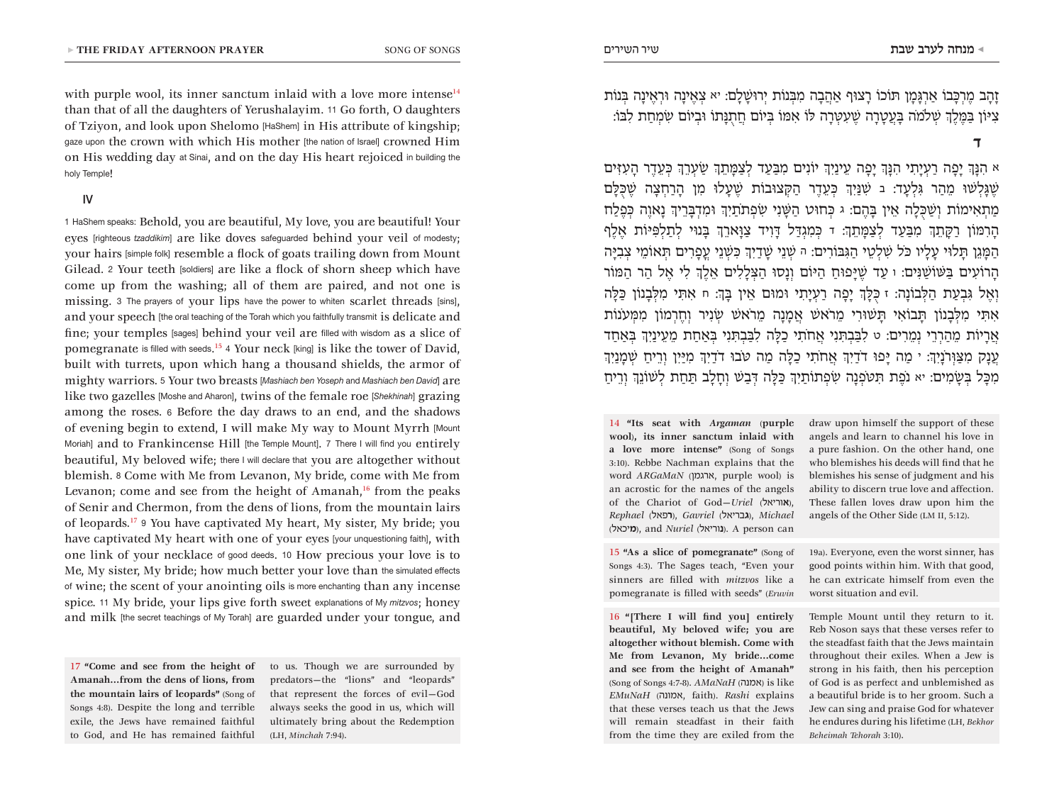with purple wool, its inner sanctum inlaid with a love more intense<sup>14</sup> than that of all the daughters of Yerushalayim. 11 Go forth, O daughters of Tziyon, and look upon Shelomo [HaShem] in His attribute of kingship; gaze upon the crown with which His mother [the nation of Israel] crowned Him on His wedding day at Sinai, and on the day His heart rejoiced in building the holy Temple!

#### IV

1 HaShem speaks: Behold, you are beautiful, My love, you are beautiful! Your eyes [righteous *tzaddikim*] are like doves safeguarded behind your veil of modesty; your hairs [simple folk] resemble a flock of goats trailing down from Mount Gilead. 2 Your teeth [soldiers] are like a flock of shorn sheep which have come up from the washing; all of them are paired, and not one is missing. 3 The prayers of your lips have the power to whiten scarlet threads [sins], and your speech [the oral teaching of the Torah which you faithfully transmit is delicate and fine; your temples [sages] behind your veil are filled with wisdom as a slice of pomegranate is filled with seeds. <sup>15</sup> <sup>4</sup> Your neck [king] is like the tower of David, built with turrets, upon which hang a thousand shields, the armor of mighty warriors. 5 Your two breasts [*Mashiach ben Yoseph* and *Mashiach ben David*] are like two gazelles [Moshe and Aharon], twins of the female roe [*Shekhinah*] grazing among the roses. 6 Before the day draws to an end, and the shadows of evening begin to extend, I will make My way to Mount Myrrh [Mount Moriah] and to Frankincense Hill [the Temple Mount]. 7 There I will find you entirely beautiful, My beloved wife; there I will declare that you are altogether without blemish. 8 Come with Me from Levanon, My bride, come with Me from Levanon; come and see from the height of Amanah, $16$  from the peaks of Senir and Chermon, from the dens of lions, from the mountain lairs of leopards.17 <sup>9</sup> You have captivated My heart, My sister, My bride; you have captivated My heart with one of your eyes [your unquestioning faith], with one link of your necklace of good deeds. 10 How precious your love is to Me, My sister, My bride; how much better your love than the simulated effects of wine; the scent of your anointing oils is more enchanting than any incense spice. 11 My bride, your lips give forth sweet explanations of My *mitzvos*; honey and milk [the secret teachings of My Torah] are guarded under your tongue, and

17 **"Come and see from the height of Amanah…from the dens of lions, from the mountain lairs of leopards"** (Song of Songs 4:8). Despite the long and terrible exile, the Jews have remained faithful to God, and He has remained faithful

to us. Though we are surrounded by predators—the "lions" and "leopards" that represent the forces of evil—God always seeks the good in us, which will ultimately bring about the Redemption (LH, *Minchah* 7:94).

זָהָב מֶרְּכָבֹו אַרְּגָמָן ּתֹוכֹו רָצּוף אַהֲבָה מִּבְנֹות יְרּוׁשָלִָם: יא צְאֶינָה ּורְאֶינָה ּבְנֹות צִּיֹון ּבַּמֶלְֶך ׁשְֹלמֹה ּבָעֲטָרָה ׁשֶעִּטְרָה ּלֹו אִּמֹו ּבְיֹום חֲתֻּנָתֹו ּובְיֹום ׂשִמְחַת לִּבֹו:

א הִּנְָך יָפָה רַעְיָתִי הִּנְָך יָפָה עֵינַיְִך יֹונִים מִּבַעַד לְצַּמָתְֵך ׂשַעְרְֵך ּכְעֵדֶר הָעִּזִים ׁשֶּגָלְׁשּו מֵהַר ּגִלְעָד: ב ׁשִּנַיְִך ּכְעֵדֶר הַּקְצּובֹות ׁשֶעָלּו מִן הָרַחְצָה ׁשֶּכֻּלָם מַתְאִימֹות וְׁשַּכֻלָה אֵין ּבָהֶם: ג ּכְחּוט הַּׁשָנִי ׂשִפְתֹתַיְִך ּומִדְּבָרֵיְך נָאוֶה ּכְפֶלַח הָרִּמֹון רַּקָתְֵך מִּבַעַד לְצַּמָתְֵך: ד ּכְמִגְּדַל ּדָוִיד צַּוָארְֵך ּבָנּוי לְתַלְּפִּיֹות אֶלֶף הַּמָגֵן ּתָלּוי עָלָיו ּכֹל ׁשִלְטֵי הַּגִּבֹורִים: ה ׁשְנֵי ׁשָדַיְִך ּכִׁשְנֵי עֳפָרִים ּתְאֹומֵי צְבִּיָה הָרֹועִים ּבַּׁשֹוׁשַּנִים: ו עַד ׁשֶּיָפּוחַ הַּיֹום וְנָסּו הַּצְלָלִים אֵלְֶך לִי אֶל הַר הַּמֹור וְאֶל ּגִבְעַת הַּלְבֹונָה: ז ּכֻּלְָך יָפָה רַעְיָתִי ּומּום אֵין ּבְָך: ח אִּתִי מִּלְבָנֹון ּכַּלָה אִּתִי מִּלְבָנֹון ּתָבֹואִי ּתָׁשּורִי מֵרֹאׁש אֲמָנָה מֵרֹאׁש ׂשְנִיר וְחֶרְמֹון מִּמְעֹנֹות אֲרָיֹות מֵהַרְרֵי נְמֵרִים: ט לִּבַבְּתִנִי אֲחֹתִי כַּלָה לִּבַבְּתִנִי ּבְאַחַת מֵעֵינַיְִך ּבְאַחַד עֲנָק מִּצַּוְרֹנָיְִך: י מַה ּיָפּו דֹדַיְִך אֲחֹתִי כַּלָה מַה ּטֹבּו דֹדַיְִך מִּיַיִן וְרֵיחַ ׁשְמָנַיְִך מִּכָל ּבְׂשָמִים: יא נֹפֶת ּתִּטֹפְנָה ׂשִפְתֹותַיְִך ּכַּלָה ּדְבַׁש וְחָלָב ּתַחַת לְׁשֹונְֵך וְרֵיחַ

14 **"Its seat with** *Argaman* (**purple wool**)**, its inner sanctum inlaid with a love more intense"** (Song of Songs 3:10). Rebbe Nachman explains that the word *ARGaMaN* (ארגמן, purple wool) is an acrostic for the names of the angels of the Chariot of God—*Uriel* (**א**וריאל(, *Rephael* (**ר**פאל(, *Gavriel* (**ג**בריאל(, *Michael* (**מ**יכאל(, and *Nuriel* (**נ**וריאל(. A person can

15 **"As a slice of pomegranate"** (Song of Songs 4:3). The Sages teach, "Even your sinners are filled with *mitzvos* like a pomegranate is filled with seeds" (*Eruvin*

16 **"[There I will find you] entirely beautiful, My beloved wife; you are altogether without blemish. Come with Me from Levanon, My bride…come and see from the height of Amanah"** (Song of Songs 4:7-8). *AMaNaH* (אמנה) is like *EMuNaH* (אמונה, faith). *Rashi* explains that these verses teach us that the Jews will remain steadfast in their faith from the time they are exiled from the draw upon himself the support of these angels and learn to channel his love in a pure fashion. On the other hand, one who blemishes his deeds will find that he blemishes his sense of judgment and his ability to discern true love and affection. These fallen loves draw upon him the angels of the Other Side (LM II, 5:12).

19a). Everyone, even the worst sinner, has good points within him. With that good, he can extricate himself from even the worst situation and evil.

Temple Mount until they return to it. Reb Noson says that these verses refer to the steadfast faith that the Jews maintain throughout their exiles. When a Jew is strong in his faith, then his perception of God is as perfect and unblemished as a beautiful bride is to her groom. Such a Jew can sing and praise God for whatever he endures during his lifetime (LH, *Bekhor Beheimah Tehorah* 3:10).

**ד**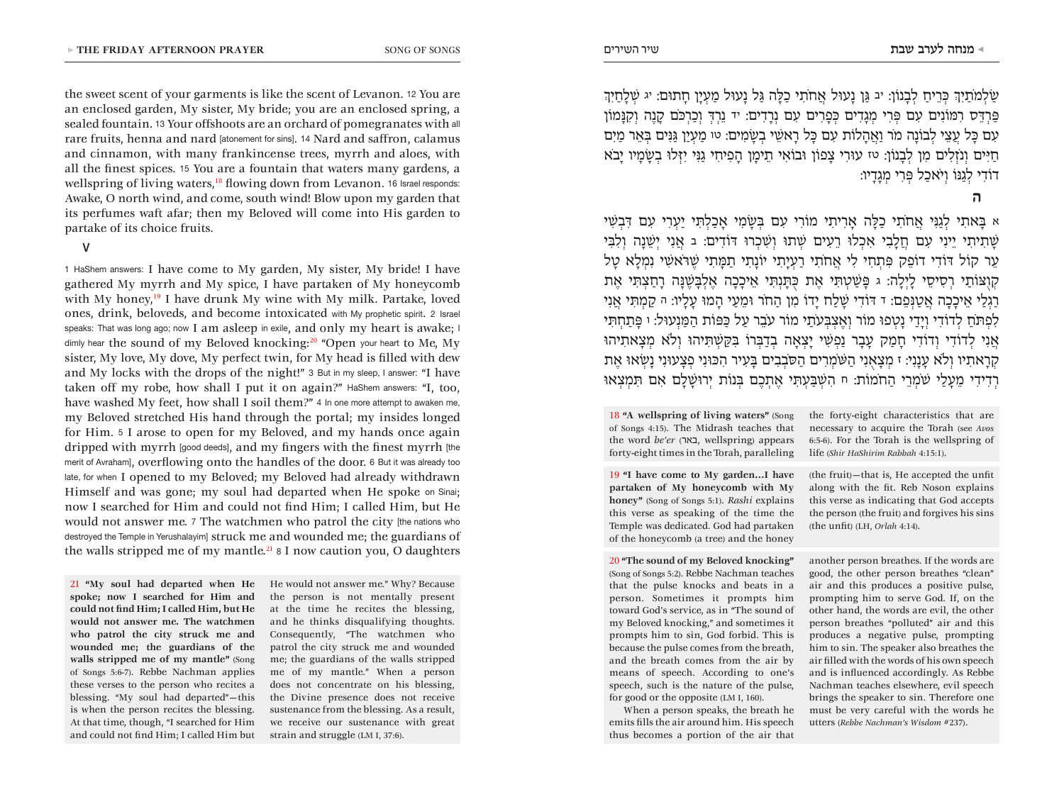the sweet scent of your garments is like the scent of Levanon. 12 You are an enclosed garden, My sister, My bride; you are an enclosed spring, a sealed fountain. 13 Your offshoots are an orchard of pomegranates with all rare fruits, henna and nard [atonement for sins]. 14 Nard and saffron, calamus and cinnamon, with many frankincense trees, myrrh and aloes, with all the finest spices. 15 You are a fountain that waters many gardens, a wellspring of living waters,<sup>18</sup> flowing down from Levanon. 16 Israel responds: Awake, O north wind, and come, south wind! Blow upon my garden that its perfumes waft afar; then my Beloved will come into His garden to partake of its choice fruits.

### V

1 HaShem answers: I have come to My garden, My sister, My bride! I have gathered My myrrh and My spice, I have partaken of My honeycomb with My honey,<sup>19</sup> I have drunk My wine with My milk. Partake, loved ones, drink, beloveds, and become intoxicated with My prophetic spirit. 2 Israel speaks: That was long ago; now I am asleep in exile, and only my heart is awake; I dimly hear the sound of my Beloved knocking:<sup>20</sup> "Open your heart to Me, My sister, My love, My dove, My perfect twin, for My head is filled with dew and My locks with the drops of the night!" 3 But in my sleep, I answer: "I have taken off my robe, how shall I put it on again?" HaShem answers: "I, too, have washed My feet, how shall I soil them?" 4 In one more attempt to awaken me, my Beloved stretched His hand through the portal; my insides longed for Him. 5 I arose to open for my Beloved, and my hands once again dripped with myrrh [good deeds], and my fingers with the finest myrrh [the merit of Avraham], overflowing onto the handles of the door. 6 But it was already too late, for when I opened to my Beloved; my Beloved had already withdrawn Himself and was gone; my soul had departed when He spoke on Sinai; now I searched for Him and could not find Him; I called Him, but He would not answer me. 7 The watchmen who patrol the city [the nations who destroyed the Temple in Yerushalayim] struck me and wounded me; the guardians of the walls stripped me of my mantle.<sup>21</sup>  $\delta$  I now caution you, O daughters

21 **"My soul had departed when He spoke; now I searched for Him and could not find Him; I called Him, but He would not answer me. The watchmen who patrol the city struck me and wounded me; the guardians of the walls stripped me of my mantle"** (Song of Songs 5:6-7). Rebbe Nachman applies these verses to the person who recites a blessing. "My soul had departed"—this is when the person recites the blessing. At that time, though, "I searched for Him and could not find Him; I called Him but He would not answer me." Why? Because the person is not mentally present at the time he recites the blessing, and he thinks disqualifying thoughts. Consequently, "The watchmen who patrol the city struck me and wounded me; the guardians of the walls stripped me of my mantle." When a person does not concentrate on his blessing, the Divine presence does not receive sustenance from the blessing. As a result, we receive our sustenance with great strain and struggle (LM I, 37:6).

ׂשַלְמֹתַיְִך ּכְרֵיחַ לְבָנֹון: יב ּגַן נָעּול אֲחֹתִי כַּלָה ּגַל נָעּול מַעְיָן חָתּום: יג ׁשְלָחַיְִך ּפַרְּדֵס רִּמֹונִים עִם ּפְרִי מְגָדִים ּכְפָרִים עִם נְרָדִים: יד נֵרְּדְ וְכַרְּכֹם קָנֶה וְקִּנָמֹון עִם ּכָל עֲצֵי לְבֹונָה מֹר וַאֲהָלֹות עִם ּכָל רָאׁשֵי בְׂשָמִים: טו מַעְיַן ּגַּנִים ּבְאֵר מַיִם חַּיִים וְנֹזְלִים מִן לְבָנֹון: טז עּורִי צָפֹון ּובֹואִי תֵימָן הָפִיחִי גַּנִי יִּזְלּו בְׂשָמָיו יָבֹא דֹודִי לְגַּנֹו וְיֹאכַל ּפְרִי מְגָדָיו:

## **ה**

א ּבָאתִי לְגַּנִי אֲחֹתִי כַּלָה אָרִיתִי מֹורִי עִם ּבְׂשָמִי אָכַלְּתִי יַעְרִי עִם ּדִבְׁשִי ׁשָתִיתִי יֵינִי עִם חֲלָבִי אִכְלּו רֵעִים ׁשְתּו וְׁשִכְרּו ּדֹודִים: ב אֲנִי יְׁשֵנָה וְלִּבִי עֵר קֹול ּדֹודִי דֹופֵק ּפִתְחִי לִי אֲחֹתִי רַעְיָתִי יֹונָתִי תַּמָתִי ׁשֶרֹּאׁשִי נִמְלָא טָל קְו ֻּצֹותַי רְסִיסֵי לָיְלָה: ג ּפָׁשַטְּתִי אֶת ּכֻּתָנְּתִי אֵיכָכָה אֶלְּבָׁשֶּנָה רָחַצְּתִי אֶת רַגְלַי אֵיכָכָה אֲטַּנְפֵם: ד ּדֹודִי ׁשָלַח יָדֹו מִן הַחֹר ּומֵעַי הָמּו עָלָיו: ה קַמְּתִי אֲנִי לִפְּתֹחַ לְדֹודִי וְיָדַי נָטְפּו מֹור וְאֶצְּבְעֹתַי מֹור עֹבֵר עַל ּכַּפֹות הַּמַנְעּול: ו ּפָתַחְּתִי אֲנִי לְדֹודִי וְדֹודִי חָמַק עָבָר נַפְׁשִי יָצְאָה בְדַּבְרֹו ּבִּקַׁשְּתִיהּו וְֹלא מְצָאתִיהּו קְרָאתִיו וְֹלא עָנָנִי: ז מְצָאֻנִי הַּׁשֹמְרִים הַּסֹבְבִים ּבָעִיר הִּכּונִי פְצָעּונִי נָׂשְאּו אֶת רְדִידִי מֵעָלַי ׁשֹמְרֵי הַחֹמֹות: ח הִׁשְּבַעְּתִי אֶתְכֶם ּבְנֹות יְרּוׁשָלִָם אִם ּתִמְצְאּו

18 **"A wellspring of living waters"** (Song of Songs 4:15). The Midrash teaches that the word *be'er* (באר, wellspring) appears forty-eight times in the Torah, paralleling

19 **"I have come to My garden...I have partaken of My honeycomb with My honey"** (Song of Songs 5:1). *Rashi* explains this verse as speaking of the time the Temple was dedicated. God had partaken of the honeycomb (a tree) and the honey

20 **"The sound of my Beloved knocking"** (Song of Songs 5:2). Rebbe Nachman teaches that the pulse knocks and beats in a person. Sometimes it prompts him toward God's service, as in "The sound of my Beloved knocking," and sometimes it prompts him to sin, God forbid. This is because the pulse comes from the breath, and the breath comes from the air by means of speech. According to one's speech, such is the nature of the pulse, for good or the opposite (LM I, 160).

When a person speaks, the breath he emits fills the air around him. His speech thus becomes a portion of the air that the forty-eight characteristics that are necessary to acquire the Torah (see *Avos* 6:5-6). For the Torah is the wellspring of life (*Shir HaShirim Rabbah* 4:15:1).

(the fruit)—that is, He accepted the unfit along with the fit. Reb Noson explains this verse as indicating that God accepts the person (the fruit) and forgives his sins (the unfit) (LH, *Orlah* 4:14).

another person breathes. If the words are good, the other person breathes "clean" air and this produces a positive pulse, prompting him to serve God. If, on the other hand, the words are evil, the other person breathes "polluted" air and this produces a negative pulse, prompting him to sin. The speaker also breathes the air filled with the words of his own speech and is influenced accordingly. As Rebbe Nachman teaches elsewhere, evil speech brings the speaker to sin. Therefore one must be very careful with the words he utters (*Rebbe Nachman's Wisdom* #237).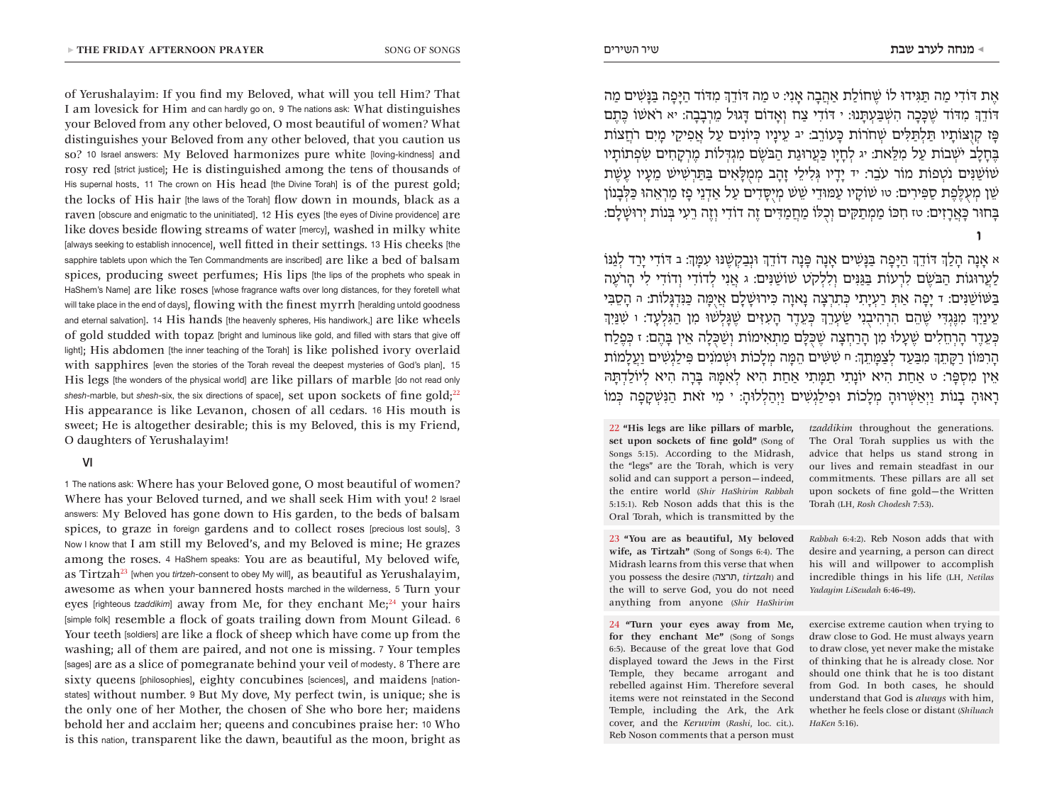of Yerushalayim: If you find my Beloved, what will you tell Him? That I am lovesick for Him and can hardly go on. 9 The nations ask: What distinguishes your Beloved from any other beloved, O most beautiful of women? What distinguishes your Beloved from any other beloved, that you caution us so? 10 Israel answers: My Beloved harmonizes pure white [loving-kindness] and rosy red [strict justice]; He is distinguished among the tens of thousands of His supernal hosts. 11 The crown on His head [the Divine Torah] is of the purest gold: the locks of His hair [the laws of the Torah] flow down in mounds, black as a raven [obscure and enigmatic to the uninitiated]. 12 His eyes [the eyes of Divine providence] are like doves beside flowing streams of water [mercy], washed in milky white [always seeking to establish innocence], well fitted in their settings. 13 His cheeks [the sapphire tablets upon which the Ten Commandments are inscribed] are like a bed of balsam spices, producing sweet perfumes; His lips [the lips of the prophets who speak in HaShem's Name] are like roses [whose fragrance wafts over long distances, for they foretell what will take place in the end of days], flowing with the finest myrrh [heralding untold goodness and eternal salvation]. 14 His hands [the heavenly spheres, His handiwork,] are like wheels of gold studded with topaz [bright and luminous like gold, and filled with stars that give off light]; His abdomen [the inner teaching of the Torah] is like polished ivory overlaid with sapphires [even the stories of the Torah reveal the deepest mysteries of God's plan]. 15 His legs [the wonders of the physical world] are like pillars of marble [do not read only shesh-marble, but *shesh*-six, the six directions of space], set upon sockets of fine gold;<sup>22</sup> His appearance is like Levanon, chosen of all cedars. 16 His mouth is sweet; He is altogether desirable; this is my Beloved, this is my Friend,

# VI

O daughters of Yerushalayim!

1 The nations ask: Where has your Beloved gone, O most beautiful of women? Where has your Beloved turned, and we shall seek Him with you! 2 Israel answers: My Beloved has gone down to His garden, to the beds of balsam spices, to graze in foreign gardens and to collect roses [precious lost souls]. 3 Now I know that I am still my Beloved's, and my Beloved is mine; He grazes among the roses. 4 HaShem speaks: You are as beautiful, My beloved wife, as Tirtzah23 [when you *tirtzeh*-consent to obey My will], as beautiful as Yerushalayim, awesome as when your bannered hosts marched in the wilderness. 5 Turn your eyes [righteous *tzaddikim*] away from Me, for they enchant Me;<sup>24</sup> your hairs [simple folk] resemble a flock of goats trailing down from Mount Gilead. 6 Your teeth [soldiers] are like a flock of sheep which have come up from the washing; all of them are paired, and not one is missing. 7 Your temples [sages] are as a slice of pomegranate behind your veil of modesty. 8 There are sixty queens [philosophies], eighty concubines [sciences], and maidens [nationstates] without number. 9 But My dove, My perfect twin, is unique; she is the only one of her Mother, the chosen of She who bore her; maidens behold her and acclaim her; queens and concubines praise her: 10 Who is this nation, transparent like the dawn, beautiful as the moon, bright as אֶת ּדֹודִי מַה ּתַּגִידּו לֹו ׁשֶחֹולַת אַהֲבָה אָנִי: ט מַה ּדֹודְֵך מִּדֹוד הַּיָפָה ּבַּנָׁשִים מַה ּדֹודְֵך מִּדֹוד ׁשֶּכָכָה הִׁשְּבַעְּתָנּו: י ּדֹודִי צַח וְאָדֹום ּדָגּול מֵרְבָבָה: יא רֹאׁשֹו ּכֶתֶם  $\,$ פּז קוצּוֹתִיו תַּלְתַּלִּים שִׁחֹרוֹת כַּעְוֹרב: יב עִינִיו כַּיוֹנִים עַל אַפִיקִי מִים רֹחַצוֹת ּבֶחָלָב יֹׁשְבֹות עַל מִּלֵאת: יג לְחָיָו ּכַעֲרּוגַת הַּבֹׂשֶם מִגְּדְלֹות מֶרְקָחִים ׂשִפְתֹותָיו ׁשֹוׁשַּנִים נֹטְפֹות מֹור עֹבֵר: יד יָדָיו ּגְלִילֵי זָהָב מְמֻּלָאִים ּבַּתַרְׁשִיׁש מֵעָיו עֶׁשֶת ֿשֵׁן מְעָלֶפֶת סַפִּירִים: טו שׁוֹקַיו עַמּוּדֵי שֵׁשׁ מְיִסַּדִים עַל אַדְנֵי פַז מַרְאֵהוּ כַּלְבָנוֹן ּבָחּור ּכָאֲרָזִים: טז חִּכֹו מַמְתַּקִים וְכֻּלֹו מַחֲמַּדִים זֶה דֹודִי וְזֶה רֵעִי ּבְנֹות יְרּוׁשָלִָם:

א אָנָה הָלְַך ּדֹודְֵך הַּיָפָה ּבַּנָׁשִים אָנָה ּפָנָה דֹודְֵך ּונְבַקְׁשֶּנּו עִּמְָך: ב ּדֹודִי יָרַד לְגַּנֹו לַעֲרּוגֹות הַּבֹׂשֶם לִרְעֹות ּבַּגַּנִים וְלִלְקֹט ׁשֹוׁשַּנִים: ג אֲנִי לְדֹודִי וְדֹודִי לִי הָרֹעֶה ּבַּׁשֹוׁשַּנִים: ד יָפָה אַּתְ רַעְיָתִי ּכְתִרְצָה נָאוָה ּכִירּוׁשָלִָם אֲי ֻּמָה ּכַּנִדְּגָלֹות: ה הָסֵּבִי עֵינַיְִך מִּנֶגְּדִי ׁשֶהֵם הִרְהִיבֻנִי ׂשַעְרְֵך ּכְעֵדֶר הָעִּזִים ׁשֶּגָלְׁשּו מִן הַּגִלְעָד: ו ׁשִּנַיְִך ּכְעֵדֶר הָרְחֵלִים ׁשֶעָלּו מִן הָרַחְצָה ׁשֶּכֻּלָם מַתְאִימֹות וְׁשַּכֻלָה אֵין ּבָהֶם: ז ּכְפֶלַח הָרִּמֹון רַּקָתְֵך מִּבַעַד לְצַּמָתְֵך: ח ׁשִּׁשִים הֵּמָה מְלָכֹות ּוׁשְמֹנִים ּפִילַגְׁשִים וַעֲלָמֹות אֵין מִסְּפָר: ט אַחַת הִיא יֹונָתִי תַּמָתִי אַחַת הִיא לְאִּמָּה ּבָרָה הִיא לְיֹולַדְּתָּה רָאּוהָ בָנֹות וַיְאַּׁשְרּוהָ מְלָכֹות ּופִילַגְׁשִים וַיְהַלְלּוה:ָ י מִי זֹאת הַּנִׁשְקָפָה ּכְמֹו

22 **"His legs are like pillars of marble, set upon sockets of fine gold"** (Song of Songs 5:15). According to the Midrash, the "legs" are the Torah, which is very solid and can support a person—indeed, the entire world (*Shir HaShirim Rabbah* 5:15:1). Reb Noson adds that this is the Oral Torah, which is transmitted by the

23 **"You are as beautiful, My beloved wife, as Tirtzah"** (Song of Songs 6:4). The Midrash learns from this verse that when you possess the desire (תרצה, *tirtzah*) and the will to serve God, you do not need anything from anyone (*Shir HaShirim* 

24 **"Turn your eyes away from Me, for they enchant Me"** (Song of Songs 6:5). Because of the great love that God displayed toward the Jews in the First Temple, they became arrogant and rebelled against Him. Therefore several items were not reinstated in the Second Temple, including the Ark, the Ark cover, and the *Keruvim* (*Rashi*, loc. cit.). Reb Noson comments that a person must

*tzaddikim* throughout the generations. The Oral Torah supplies us with the advice that helps us stand strong in our lives and remain steadfast in our commitments. These pillars are all set upon sockets of fine gold—the Written Torah (LH, *Rosh Chodesh* 7:53).

*Rabbah* 6:4:2). Reb Noson adds that with desire and yearning, a person can direct his will and willpower to accomplish incredible things in his life (LH, *Netilas Yadayim LiSeudah* 6:46-49).

exercise extreme caution when trying to draw close to God. He must always yearn to draw close, yet never make the mistake of thinking that he is already close. Nor should one think that he is too distant from God. In both cases, he should understand that God is *always* with him, whether he feels close or distant (*Shiluach HaKen* 5:16).

**ו**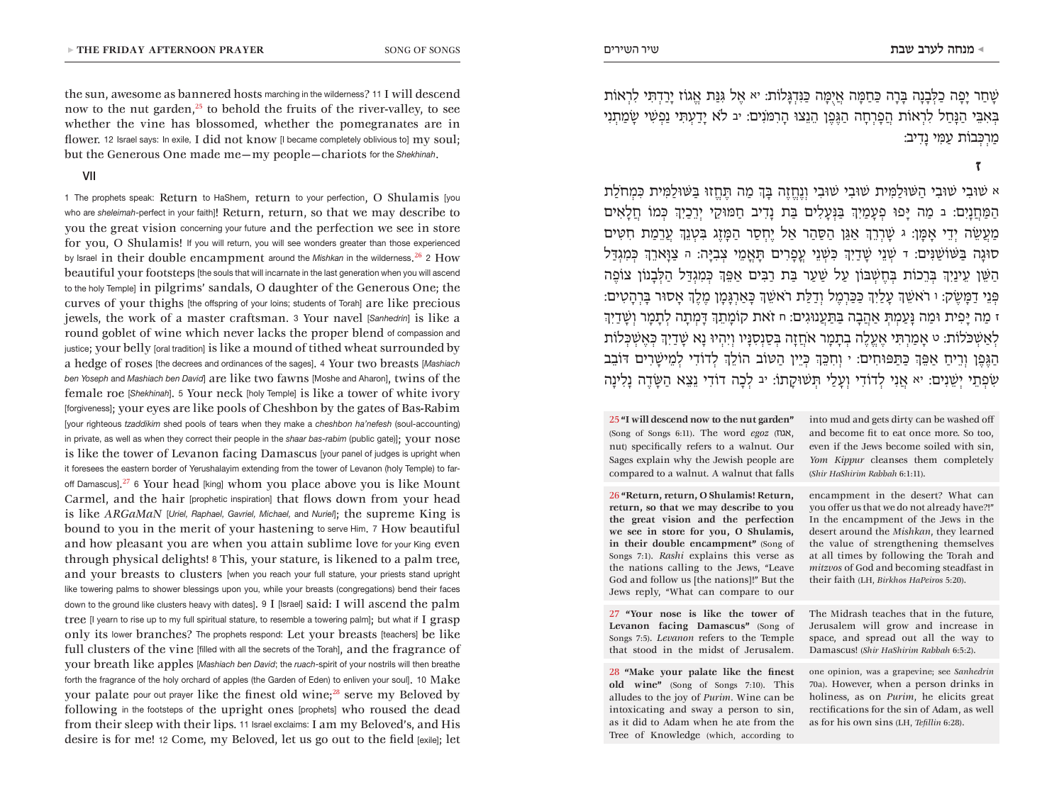the sun, awesome as bannered hosts marching in the wilderness? 11 I will descend now to the nut garden, $^{25}$  to behold the fruits of the river-valley, to see whether the vine has blossomed, whether the pomegranates are in flower. 12 Israel says: In exile, I did not know II became completely oblivious tol my soul: but the Generous One made me—my people—chariots for the *Shekhinah*.

## VII

1 The prophets speak: Return to HaShem, return to your perfection, O Shulamis [you who are *sheleimah-perfect* in your faith]! Return, return, so that we may describe to you the great vision concerning your future and the perfection we see in store for you, O Shulamis! If you will return, you will see wonders greater than those experienced by Israel in their double encampment around the *Mishkan* in the wilderness. <sup>26</sup> <sup>2</sup> How beautiful your footsteps [the souls that will incarnate in the last generation when you will ascend to the holy Temple] in pilgrims' sandals, O daughter of the Generous One; the curves of your thighs [the offspring of your loins; students of Torah] are like precious jewels, the work of a master craftsman. 3 Your navel [*Sanhedrin*] is like a round goblet of wine which never lacks the proper blend of compassion and justice; your belly [oral tradition] is like a mound of tithed wheat surrounded by a hedge of roses [the decrees and ordinances of the sages]. 4 Your two breasts [*Mashiach ben Yoseph* and *Mashiach ben David*] are like two fawns [Moshe and Aharon], twins of the female roe [*Shekhinah*]. 5 Your neck [holy Temple] is like a tower of white ivory [forgiveness]; your eyes are like pools of Cheshbon by the gates of Bas-Rabim [your righteous *tzaddikim* shed pools of tears when they make a *cheshbon ha'nefesh* (soul-accounting) in private, as well as when they correct their people in the *shaar bas-rabim* (public gate)]; your nose is like the tower of Levanon facing Damascus [your panel of judges is upright when it foresees the eastern border of Yerushalayim extending from the tower of Levanon (holy Temple) to faroff Damascus]. <sup>27</sup> <sup>6</sup> Your head [king] whom you place above you is like Mount Carmel, and the hair [prophetic inspiration] that flows down from your head is like *ARGaMaN* [*Uriel, Raphael, Gavriel, Michael,* and *Nuriel*]; the supreme King is bound to you in the merit of your hastening to serve Him. 7 How beautiful and how pleasant you are when you attain sublime love for your King even through physical delights! 8 This, your stature, is likened to a palm tree, and your breasts to clusters [when you reach your full stature, your priests stand upright like towering palms to shower blessings upon you, while your breasts (congregations) bend their faces down to the ground like clusters heavy with dates]. 9 I [Israel] said: I will ascend the palm tree [I yearn to rise up to my full spiritual stature, to resemble a towering palm]; but what if I grasp only its lower branches? The prophets respond: Let your breasts [teachers] be like full clusters of the vine [filled with all the secrets of the Torah], and the fragrance of your breath like apples [*Mashiach ben David*; the *ruach*-spirit of your nostrils will then breathe forth the fragrance of the holy orchard of apples (the Garden of Eden) to enliven your soul]. 10  $\rm Make$ your palate pour out prayer like the finest old wine;<sup>28</sup> serve my Beloved by following in the footsteps of the upright ones [prophets] who roused the dead from their sleep with their lips. 11 Israel exclaims: I am my Beloved's, and His desire is for me! 12 Come, my Beloved, let us go out to the field [exile]; let

ֿשָׁחַר יַפָּה כַלְבָנָה בַּרָה כַּחַמָּה אֲיִמַּה כַּנִּדְגַּלוֹת: יא אֱל גִּנַּת אֱגֹוֹז יַרַדְּתִּי לִרְאוֹת ּבְאִּבֵי הַּנָחַל לִרְאֹות הֲפָרְחָה הַּגֶפֶן הֵנֵצּו הָרִּמֹנִים: יב ֹלא יָדַעְּתִי נַפְׁשִי ׂשָמַתְנִי מַרְּכְבֹות עַּמִי נָדִיב:

**ז** 

א ׁשּובִי ׁשּובִי הַּׁשּולַּמִית ׁשּובִי ׁשּובִי וְנֶחֱזֶה ּבְָך מַה ּתֶחֱזּו ּבַּׁשּולַּמִית ּכִמְחֹלַת הַּמַחֲנָיִם: ב מַה ּיָפּו פְעָמַיְִך ּבַּנְעָלִים ּבַת נָדִיב חַּמּוקֵי יְרֵכַיְִך ּכְמֹו חֲלָאִים מַעֲׂשֵה יְדֵי אָּמָן: ג ׁשָרְרְֵך אַּגַן הַּסַהַר אַל יֶחְסַר הַּמָזֶג ּבִטְנְֵך עֲרֵמַת חִּטִים סּוגָה ּבַּׁשֹוׁשַּנִים: ד ׁשְנֵי ׁשָדַיְִך ּכִׁשְנֵי עֳפָרִים ּתָאֳמֵי צְבִּיָה: ה צַּוָארְֵך ּכְמִגְּדַל הַּׁשֵן עֵינַיְִך ּבְרֵכֹות ּבְחֶׁשְּבֹון עַל ׁשַעַר ּבַת רַּבִים אַּפְֵך ּכְמִגְּדַל הַּלְבָנֹון צֹופֶה ּפְנֵי דַּמָׂשֶק: ו רֹאׁשְֵך עָלַיְִך ּכַּכַרְמֶל וְדַּלַת רֹאׁשְֵך ּכָאַרְּגָמָן מֶלְֶך אָסּור ּבָרְהָטִים: ז מַה ּיָפִית ּומַה ּנָעַמְּתְ אַהֲבָה ּבַּתַעֲנּוגִים: ח זֹאת קֹומָתְֵך ּדָמְתָה לְתָמָר וְׁשָדַיְִך לְאַׁשְּכֹלֹות: ט אָמַרְּתִי אֶעֱלֶה בְתָמָר אֹחֲזָה ּבְסַנְסִּנָיו וְיִהְיּו נָא ׁשָדַיְִך ּכְאֶׁשְּכְלֹות הַּגֶפֶן וְרֵיחַ אַּפְֵך ּכַּתַּפּוחִים: י וְחִּכְֵך ּכְיֵין הַּטֹוב הֹולְֵך לְדֹודִי לְמֵיׁשָרִים ּדֹובֵב ׂשִפְתֵי יְׁשֵנִים: יא אֲנִי לְדֹודִי וְעָלַי ּתְׁשּוקָתֹו: יב לְכָה דֹודִי נֵצֵא הַּׂשָדֶה נָלִינָה

25 **"I will descend now to the nut garden"** (Song of Songs 6:11). The word *egoz* (אגוז, nut) specifically refers to a walnut. Our Sages explain why the Jewish people are compared to a walnut. A walnut that falls

26 **"Return, return, O Shulamis! Return, return, so that we may describe to you the great vision and the perfection we see in store for you, O Shulamis, in their double encampment"** (Song of Songs 7:1). *Rashi* explains this verse as the nations calling to the Jews, "Leave God and follow us [the nations]!" But the Jews reply, "What can compare to our

27 **"Your nose is like the tower of Levanon facing Damascus"** (Song of Songs 7:5). *Levanon* refers to the Temple that stood in the midst of Jerusalem.

28 **"Make your palate like the finest old wine"** (Song of Songs 7:10). This alludes to the joy of *Purim*. Wine can be intoxicating and sway a person to sin, as it did to Adam when he ate from the Tree of Knowledge (which, according to

into mud and gets dirty can be washed off and become fit to eat once more. So too, even if the Jews become soiled with sin, *Yom Kippur* cleanses them completely (*Shir HaShirim Rabbah* 6:1:11).

encampment in the desert? What can you offer us that we do not already have?!" In the encampment of the Jews in the desert around the *Mishkan*, they learned the value of strengthening themselves at all times by following the Torah and *mitzvos* of God and becoming steadfast in their faith (LH, *Birkhos HaPeiros* 5:20).

The Midrash teaches that in the future, Jerusalem will grow and increase in space, and spread out all the way to Damascus! (*Shir HaShirim Rabbah* 6:5:2).

one opinion, was a grapevine; see *Sanhedrin* 70a). However, when a person drinks in holiness, as on *Purim*, he elicits great rectifications for the sin of Adam, as well as for his own sins (LH, *Tefillin* 6:28).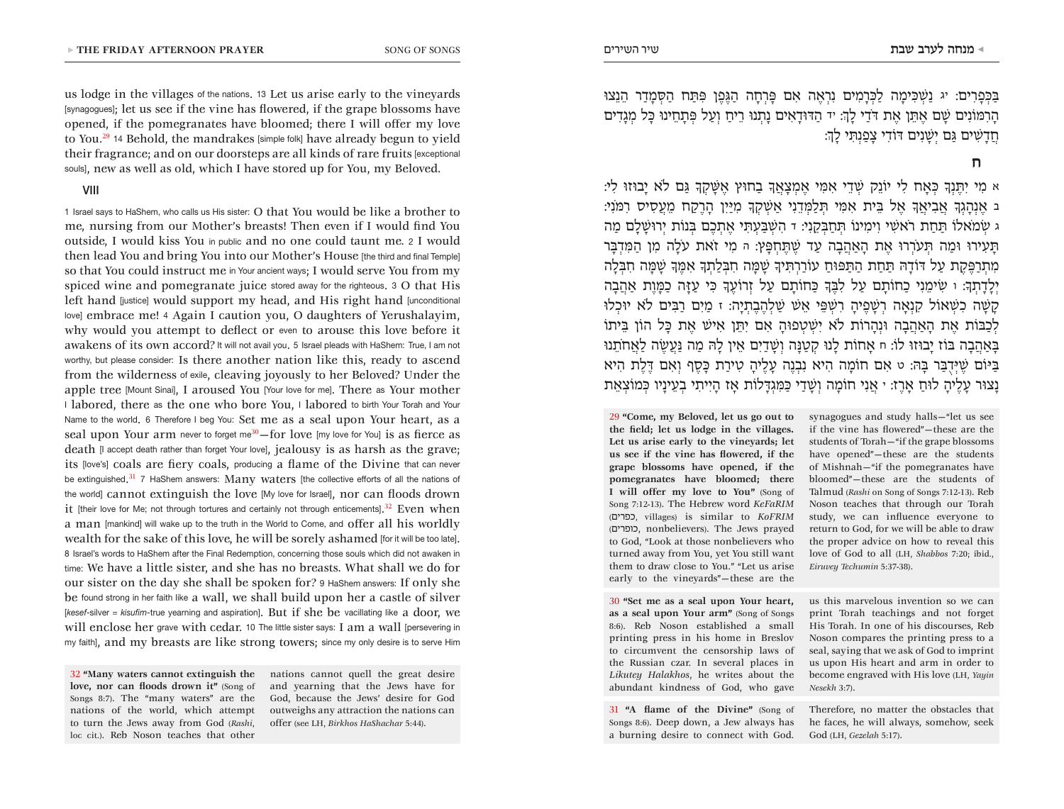us lodge in the villages of the nations. 13 Let us arise early to the vineyards [synagogues]; let us see if the vine has flowered, if the grape blossoms have opened, if the pomegranates have bloomed; there I will offer my love to You.<sup>29</sup> 14 Behold, the mandrakes [simple folk] have already begun to yield their fragrance; and on our doorsteps are all kinds of rare fruits [exceptional souls], new as well as old, which I have stored up for You, my Beloved.

## VIII

1 Israel says to HaShem, who calls us His sister: O that You would be like a brother to me, nursing from our Mother's breasts! Then even if I would find You outside, I would kiss You in public and no one could taunt me. 2 I would then lead You and bring You into our Mother's House [the third and final Temple] so that You could instruct me in Your ancient ways; I would serve You from my spiced wine and pomegranate juice stored away for the righteous. 3 O that His left hand [justice] would support my head, and His right hand [unconditional love] embrace me! 4 Again I caution you, O daughters of Yerushalayim, why would you attempt to deflect or even to arouse this love before it awakens of its own accord? It will not avail you. 5 Israel pleads with HaShem: True, I am not worthy, but please consider: Is there another nation like this, ready to ascend from the wilderness of exile, cleaving joyously to her Beloved? Under the apple tree [Mount Sinai], I aroused You [Your love for me]. There as Your mother I labored, there as the one who bore You, I labored to birth Your Torah and Your Name to the world. 6 Therefore I beg You: Set me as a seal upon Your heart, as a seal upon Your arm never to forget me<sup>30</sup>-for love [my love for You] is as fierce as death II accept death rather than forget Your lovel, jealousy is as harsh as the grave: its [love's] coals are fiery coals, producing a flame of the Divine that can never be extinguished.<sup>31</sup> 7 HaShem answers: Many waters [the collective efforts of all the nations of the world] cannot extinguish the love [My love for Israel], nor can floods drown it [their love for Me; not through tortures and certainly not through enticements].<sup>32</sup> Even when a man [mankind] will wake up to the truth in the World to Come, and offer all his worldly wealth for the sake of this love, he will be sorely ashamed [for it will be too late]. 8 Israel's words to HaShem after the Final Redemption, concerning those souls which did not awaken in time: We have a little sister, and she has no breasts. What shall we do for our sister on the day she shall be spoken for? 9 HaShem answers: If only she be found strong in her faith like a wall, we shall build upon her a castle of silver [kesef-silver = kisufim-true yearning and aspiration]. But if she be vacillating like a door, we will enclose her grave with cedar. 10 The little sister says: I am a wall [persevering in my faith], and my breasts are like strong towers; since my only desire is to serve Him

32 **"Many waters cannot extinguish the love, nor can floods drown it"** (Song of Songs 8:7). The "many waters" are the nations of the world, which attempt to turn the Jews away from God (*Rashi*, loc cit.). Reb Noson teaches that other

nations cannot quell the great desire and yearning that the Jews have for God, because the Jews' desire for God outweighs any attraction the nations can offer (see LH, *Birkhos HaShachar* 5:44).

ּבַּכְפָרִים: יג נַׁשְּכִימָה לַּכְרָמִים נִרְאֶה אִם ּפָרְחָה הַּגֶפֶן ּפִּתַח הַּסְמָדַר הֵנֵצּו הָרִּמֹונִים ׁשָם אֶּתֵן אֶת ּדֹדַי לְָך: יד הַּדּודָאִים נָתְנּו רֵיחַ וְעַל ּפְתָחֵינּו ּכָל מְגָדִים חֲדָׁשִים ּגַם יְׁשָנִים ּדֹודִי צָפַנְּתִי לְָך:

**ח** 

א מִי יִּתֶנְָך ּכְאָח לִי יֹונֵק ׁשְדֵי אִּמִי אֶמְצָאֲָך בַחּוץ אֶּׁשָקְָך ּגַם ֹלא יָבּוזּו לִי: ב אֶנְהָגְָך אֲבִיאֲָך אֶל ּבֵית אִּמִי ּתְלַּמְדֵנִי אַׁשְקְָך מִּיַיִן הָרֶקַח מֵעֲסִיס רִּמֹנִי: ג ׂשְמֹאלֹו ּתַחַת רֹאׁשִי וִימִינֹו ּתְחַּבְקֵנִי: ד הִׁשְּבַעְּתִי אֶתְכֶם ּבְנֹות יְרּוׁשָלִָם מַה ּתָעִירּו ּומַה ּתְעֹרְרּו אֶת הָאַהֲבָה עַד ׁשֶּתֶחְּפָץ: ה מִי זֹאת עֹלָה מִן הַּמִדְּבָר מִתְרַּפֶקֶת עַל ּדֹודָּה ּתַחַת הַּתַּפּוחַ עֹורַרְּתִיָך ׁשָּמָה חִּבְלַתְָך אִּמֶָך ׁשָּמָה חִּבְלָה יְלָדָתְָך: ו ׂשִימֵנִי כַחֹותָם עַל לִּבֶָך ּכַחֹותָם עַל זְרֹועֶָך ּכִי עַּזָה כַּמָוֶת אַהֲבָה קָׁשָה כִׁשְאֹול קִנְאָה רְׁשָפֶיהָ רִׁשְּפֵי אֵׁש ׁשַלְהֶבֶתְיָה: ז מַיִם רַּבִים ֹלא יּוכְלּו לְכַּבֹות אֶת הָאַהֲבָה ּונְהָרֹות ֹלא יִׁשְטְפּוהָ אִם יִּתֵן אִיׁש אֶת ּכָל הֹון ּבֵיתֹו ּבָאַהֲבָה ּבֹוז יָבּוזּו לֹו: ח אָחֹות לָנּו קְטַּנָה וְׁשָדַיִם אֵין לָּה מַה ּנַעֲׂשֶה לַאֲחֹתֵנּו ּבַּיֹום ׁשֶּיְדֻּבַר ּבָּה: ט אִם חֹומָה הִיא נִבְנֶה עָלֶיהָ טִירַת ּכָסֶף וְאִם ּדֶלֶת הִיא נָצּור עָלֶיהָ לּוחַ אָרֶז: י אֲנִי חֹומָה וְׁשָדַי ּכַּמִגְּדָלֹות אָז הָיִיתִי בְעֵינָיו ּכְמֹוצְאֵת

29 **"Come, my Beloved, let us go out to the field; let us lodge in the villages. Let us arise early to the vineyards; let us see if the vine has flowered, if the grape blossoms have opened, if the pomegranates have bloomed; there I will offer my love to You"** (Song of Song 7:12-13). The Hebrew word *KeFaRIM* (כפרים, villages) is similar to *KoFRIM* (כופרים, nonbelievers). The Jews prayed to God, "Look at those nonbelievers who turned away from You, yet You still want them to draw close to You." "Let us arise early to the vineyards"—these are the

30 **"Set me as a seal upon Your heart, as a seal upon Your arm"** (Song of Songs 8:6). Reb Noson established a small printing press in his home in Breslov to circumvent the censorship laws of the Russian czar. In several places in *Likutey Halakhos*, he writes about the abundant kindness of God, who gave

31 **"A flame of the Divine"** (Song of Songs 8:6). Deep down, a Jew always has a burning desire to connect with God. synagogues and study halls—"let us see if the vine has flowered"—these are the students of Torah—"if the grape blossoms have opened"—these are the students of Mishnah—"if the pomegranates have bloomed"—these are the students of Talmud (*Rashi* on Song of Songs 7:12-13). Reb Noson teaches that through our Torah study, we can influence everyone to return to God, for we will be able to draw the proper advice on how to reveal this love of God to all (LH, *Shabbos* 7:20; ibid., *Eiruvey Techumin* 5:37-38).

us this marvelous invention so we can print Torah teachings and not forget His Torah. In one of his discourses, Reb Noson compares the printing press to a seal, saying that we ask of God to imprint us upon His heart and arm in order to become engraved with His love (LH, *Yayin Nesekh* 3:7).

Therefore, no matter the obstacles that he faces, he will always, somehow, seek God (LH, *Gezelah* 5:17).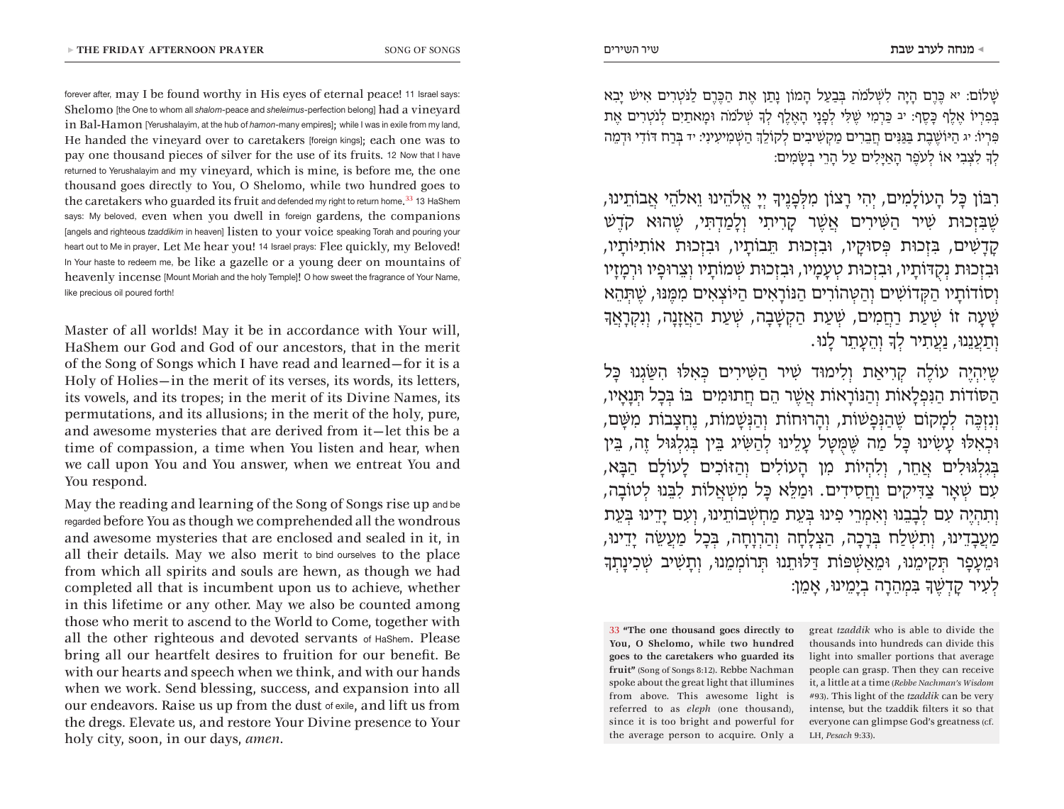ׁשָלֹום: יא ּכֶרֶם הָיָה לִׁשְֹלמֹה ּבְבַעַל הָמֹון נָתַן אֶת הַּכֶרֶם לַּנֹטְרִים אִיׁש יָבִא ּבְפִרְיֹו אֶלֶף ּכָסֶף: יב ּכַרְמִי ׁשֶּלִי לְפָנָי הָאֶלֶף לְָך ׁשְֹלמֹה ּומָאתַיִם לְנֹטְרִים אֶת ּפִרְיֹו: יג הַּיֹוׁשֶבֶת ּבַּגַּנִים חֲבֵרִים מַקְׁשִיבִים לְקֹולְֵך הַׁשְמִיעִינִי: יד ּבְרַח ּדֹודִי ּודְמֵה לְָך לִצְבִי אֹו לְעֹפֶר הָאַּיָלִים עַל הָרֵי בְׂשָמִים:

רִּבֹון ּכָל הָעֹולָמִים, יְהִי רָצֹון מִּלְפָנֶיָך יְיָ אֱֹלהֵינּו וֵאֹלהֵי אֲבֹותֵינּו, ׁשֶּבִזְכּות ׁשִיר הַּׁשִירִים אֲׁשֶר קָרִיתִי וְלָמַדְּתִי, ׁשֶהּוא קֹדֶׁש קָדָׁשִים, ּבִזְכּות ּפְסּוקָיו, ּובִזְכּות ּתֵבֹותָיו, ּובִזְכּות אֹותִּיֹותָיו, ּובִזְכּות נְקֻּדֹותָיו, ּובִזְכּות טְעָמָיו, ּובִזְכּות ׁשְמֹותָיו וְצֵרּופָיו ּורְמָזָיו וְסֹודֹותָיו הַּקְדֹוׁשִים וְהַּטְהֹורִים הַּנֹורָאִים הַּיֹוצְאִים מִּמֶּנּו, ׁשֶּתְהֵא ׁשָעָה זֹו ׁשְעַת רַחֲמִים, ׁשְעַת הַקְׁשָבָה, ׁשְעַת הַאֲזָנָה, וְנִקְרָאֲָך וְתַעֲנֵנּו, נַעֲתִיר לְָך וְהֵעָתֵר לָנּו.

שֶיִהְיֶה עֹולֶה קְרִיאַת וְלִימּוד ׁשִיר הַּׁשִירִים ּכְאִּלּו הִּׂשַגְנּו ּכָל הַּסֹודֹות הַּנִפְלָאֹות וְהַּנֹורָאֹות אֲׁשֶר הֵם חֲתּומִים ּבֹו ּבְכָל ּתְנָאָיו, וְנִזְּכֶה לְמָקֹום ׁשֶהַּנְפָׁשֹות, וְהָרּוחֹות וְהַּנְׁשָמֹות, נֶחְצָבֹות מִּׁשָם, ּוכְאִּלּו עָׂשִינּו ּכָל מַה ּׁשֶּמֻּטָל עָלֵינּו לְהַּׂשִיג ּבֵין ּבְגִלְּגּול זֶה, ּבֵין ּבְגִלְּגּולִים אֲחֵר, וְלִהְיֹות מִן הָעֹולִים וְהַּזֹוכִים לָעֹולָם הַּבָא, עִם ׁשְאָר צַּדִיקִים וַחֲסִידִים. ּומַּלֵא ּכָל מִׁשְאֲלֹות לִּבֵנּו לְטֹובָה, וְתִהְיֶה עִם לְבָבֵנּו וְאִמְרֵי פִינּו ּבְעֵת מַחְׁשְבֹותֵינּו, וְעִם יָדֵינּו ּבְעֵת מַעֲבָדֵינּו, וְתִׁשְלַח ּבְרָכָה, הַצְלָחָה וְהַרְוָחָה, ּבְכָל מַעֲׂשֵה יָדֵינּו, ּומֵעָפָר ּתְקִימֵנּו, ּומֵאַׁשְּפֹות ּדַּלּותֵנּו ּתְרֹומְמֵנּו, וְתָׁשִיב ׁשְכִינָתְָך לְעִיר קָדְׁשֶָך ּבִמְהֵרָה בְיָמֵינּו, אָמֵן:

33 **"The one thousand goes directly to You, O Shelomo, while two hundred goes to the caretakers who guarded its fruit"** (Song of Songs 8:12). Rebbe Nachman spoke about the great light that illumines from above. This awesome light is referred to as *eleph* (one thousand), since it is too bright and powerful for the average person to acquire. Only a

great *tzaddik* who is able to divide the thousands into hundreds can divide this light into smaller portions that average people can grasp. Then they can receive it, a little at a time (*Rebbe Nachman's Wisdom* #93). This light of the *tzaddik* can be very intense, but the tzaddik filters it so that everyone can glimpse God's greatness (cf. LH, *Pesach* 9:33).

forever after, may I be found worthy in His eyes of eternal peace! 11 Israel says: Shelomo [the One to whom all *shalom*-peace and *sheleimus*-perfection belong] had a vineyard in Bal-Hamon [Yerushalayim, at the hub of *hamon*-many empires]; while I was in exile from my land, He handed the vineyard over to caretakers [foreign kings]; each one was to pay one thousand pieces of silver for the use of its fruits. 12 Now that I have returned to Yerushalayim and my vineyard, which is mine, is before me, the one thousand goes directly to You, O Shelomo, while two hundred goes to the careta $\rm~ker~s$  who guarded its fruit and defended my right to return home.  $^{33}$  13 HaShem says: My beloved, even when you dwell in foreign gardens, the companions [angels and righteous *tzaddikim* in heaven] listen to your voice speaking Torah and pouring your heart out to Me in prayer. Let Me hear you! 14 Israel prays: Flee quickly, my Beloved! In Your haste to redeem me, be like a gazelle or a young deer on mountains of heavenly incense [Mount Moriah and the holy Temple]! O how sweet the fragrance of Your Name, like precious oil poured forth!

Master of all worlds! May it be in accordance with Your will, HaShem our God and God of our ancestors, that in the merit of the Song of Songs which I have read and learned—for it is a Holy of Holies—in the merit of its verses, its words, its letters, its vowels, and its tropes; in the merit of its Divine Names, its permutations, and its allusions; in the merit of the holy, pure, and awesome mysteries that are derived from it—let this be a time of compassion, a time when You listen and hear, when we call upon You and You answer, when we entreat You and You respond.

May the reading and learning of the Song of Songs rise up and be regarded before You as though we comprehended all the wondrous and awesome mysteries that are enclosed and sealed in it, in all their details. May we also merit to bind ourselves to the place from which all spirits and souls are hewn, as though we had completed all that is incumbent upon us to achieve, whether in this lifetime or any other. May we also be counted among those who merit to ascend to the World to Come, together with all the other righteous and devoted servants of HaShem. Please bring all our heartfelt desires to fruition for our benefit. Be with our hearts and speech when we think, and with our hands when we work. Send blessing, success, and expansion into all our endeavors. Raise us up from the dust of exile, and lift us from the dregs. Elevate us, and restore Your Divine presence to Your holy city, soon, in our days, *amen*.